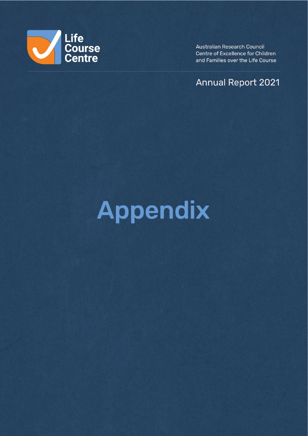

Australian Research Council Centre of Excellence for Children and Families over the Life Course

**Annual Report 2021** 

# Appendix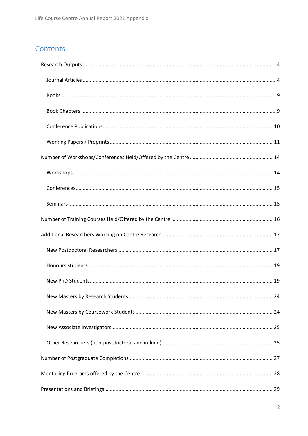# Contents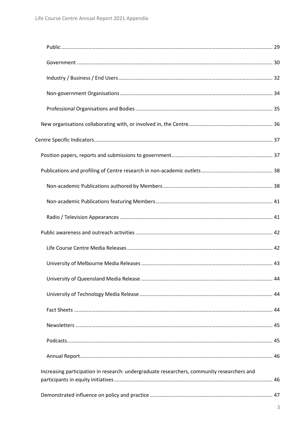| Increasing participation in research: undergraduate researchers, community researchers and |  |
|--------------------------------------------------------------------------------------------|--|
|                                                                                            |  |
|                                                                                            |  |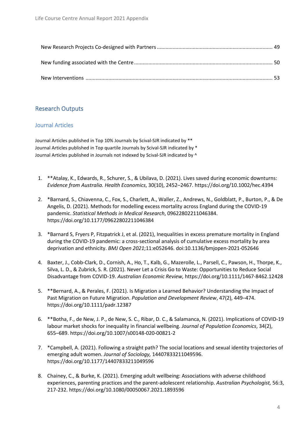# <span id="page-3-0"></span>Research Outputs

## <span id="page-3-1"></span>Journal Articles

Journal Articles published in Top 10% Journals by Scival-SJR indicated by \*\* Journal Articles published in Top quartile Journals by Scival-SJR indicated by \* Journal Articles published in Journals not indexed by Scival-SJR indicated by ^

- 1. \*\*Atalay, K., Edwards, R., Schurer, S., & Ubilava, D. (2021). Lives saved during economic downturns: *Evidence from Australia. Health Economics*, 30(10), 2452–2467.<https://doi.org/10.1002/hec.4394>
- 2. \*Barnard, S., Chiavenna, C., Fox, S., Charlett, A., Waller, Z., Andrews, N., Goldblatt, P., Burton, P., & De Angelis, D. (2021). Methods for modelling excess mortality across England during the COVID-19 pandemic. *Statistical Methods in Medical Research*, 09622802211046384. <https://doi.org/10.1177/09622802211046384>
- 3. \*Barnard S, Fryers P, Fitzpatrick J, et al. (2021), Inequalities in excess premature mortality in England during the COVID-19 pandemic: a cross-sectional analysis of cumulative excess mortality by area deprivation and ethnicity. *BMJ Open 2021*;11:e052646. doi:10.1136/bmjopen-2021-052646
- 4. Baxter, J., Cobb-Clark, D., Cornish, A., Ho, T., Kalb, G., Mazerolle, L., Parsell, C., Pawson, H., Thorpe, K., Silva, L. D., & Zubrick, S. R. (2021). Never Let a Crisis Go to Waste: Opportunities to Reduce Social Disadvantage from COVID-19. *Australian Economic Review,* <https://doi.org/10.1111/1467-8462.12428>
- 5. \*\*Bernard, A., & Perales, F. (2021). Is Migration a Learned Behavior? Understanding the Impact of Past Migration on Future Migration. *Population and Development Review*, 47(2), 449–474. <https://doi.org/10.1111/padr.12387>
- 6. \*\*Botha, F., de New, J. P., de New, S. C., Ribar, D. C., & Salamanca, N. (2021). Implications of COVID-19 labour market shocks for inequality in financial wellbeing. *Journal of Population Economics*, 34(2), 655–689[. https://doi.org/10.1007/s00148-020-00821-2](https://doi.org/10.1007/s00148-020-00821-2)
- 7. \*Campbell, A. (2021). Following a straight path? The social locations and sexual identity trajectories of emerging adult women. *Journal of Sociology,* 14407833211049596. <https://doi.org/10.1177/14407833211049596>
- 8. Chainey, C., & Burke, K. (2021). Emerging adult wellbeing: Associations with adverse childhood experiences, parenting practices and the parent-adolescent relationship. *Australian Psychologist,* 56:3, 217-232[. https://doi.org/10.1080/00050067.2021.1893596](https://doi.org/10.1080/00050067.2021.1893596)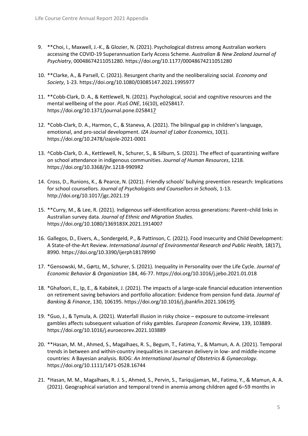- 9. \*\*Choi, I., Maxwell, J.-K., & Glozier, N. (2021). Psychological distress among Australian workers accessing the COVID-19 Superannuation Early Access Scheme. *Australian & New Zealand Journal of Psychiatry*, 00048674211051280[. https://doi.org/10.1177/00048674211051280](https://doi.org/10.1177/00048674211051280)
- 10. \*\*Clarke, A., & Parsell, C. (2021). Resurgent charity and the neoliberalizing social. *Economy and Society*, 1-23[. https://doi.org/10.1080/03085147.2021.1995977](https://doi.org/10.1080/03085147.2021.1995977)
- 11. \*\*Cobb-Clark, D. A., & Kettlewell, N. (2021). Psychological, social and cognitive resources and the mental wellbeing of the poor. *PLoS ONE*, 16(10), e0258417. <https://doi.org/10.1371/journal.pone.0258417>
- 12. \*Cobb-Clark, D. A., Harmon, C., & Staneva, A. (2021). The bilingual gap in children's language, emotional, and pro-social development. *IZA Journal of Labor Economics*, 10(1). <https://doi.org/10.2478/izajole-2021-0001>
- 13. ^Cobb-Clark, D. A., Kettlewell, N., Schurer, S., & Silburn, S. (2021). The effect of quarantining welfare on school attendance in indigenous communities. *Journal of Human Resources*, 1218. <https://doi.org/10.3368/jhr.1218-9909R2>
- 14. Cross, D., Runions, K., & Pearce, N. (2021). Friendly schools' bullying prevention research: Implications for school counsellors. *Journal of Psychologists and Counsellors in Schools*, 1-13. <http://doi.org/10.1017/jgc.2021.19>
- 15. \*\*Curry, M., & Lee, R. (2021). Indigenous self-identification across generations: Parent–child links in Australian survey data. *Journal of Ethnic and Migration Studies.*  <https://doi.org/10.1080/1369183X.2021.1914007>
- 16. Gallegos, D., Eivers, A., Sondergeld, P., & Pattinson, C. (2021). Food Insecurity and Child Development: A State-of-the-Art Review. *International Journal of Environmental Research and Public Health,* 18(17), 8990.<https://doi.org/10.3390/ijerph18178990>
- 17. \*Gensowski, M., Gørtz, M., Schurer, S. (2021). Inequality in Personality over the Life Cycle. *Journal of Economic Behavior & Organization* 184, 46-77.<https://doi.org/10.1016/j.jebo.2021.01.018>
- 18. \*Ghafoori, E., Ip, E., & Kabátek, J. (2021). The impacts of a large-scale financial education intervention on retirement saving behaviors and portfolio allocation: Evidence from pension fund data. *Journal of Banking & Finance*, 130, 106195.<https://doi.org/10.1016/j.jbankfin.2021.106195>
- 19. \*Guo, J., & Tymula, A. (2021). Waterfall illusion in risky choice exposure to outcome-irrelevant gambles affects subsequent valuation of risky gambles. *European Economic Review*, 139, 103889. <https://doi.org/10.1016/j.euroecorev.2021.103889>
- 20. \*\*Hasan, M. M., Ahmed, S., Magalhaes, R. S., Begum, T., Fatima, Y., & Mamun, A. A. (2021). Temporal trends in between and within-country inequalities in caesarean delivery in low- and middle-income countries: A Bayesian analysis. BJOG: *An International Journal of Obstetrics & Gynaecology*. <https://doi.org/10.1111/1471-0528.16744>
- 21. \*Hasan, M. M., Magalhaes, R. J. S., Ahmed, S., Pervin, S., Tariqujjaman, M., Fatima, Y., & Mamun, A. A. (2021). Geographical variation and temporal trend in anemia among children aged 6–59 months in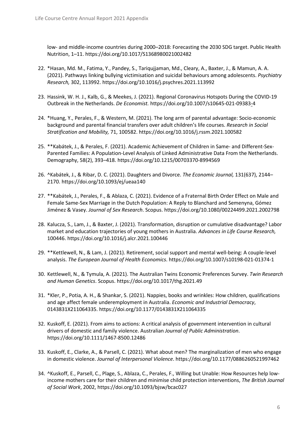low- and middle-income countries during 2000–2018: Forecasting the 2030 SDG target. Public Health Nutrition, 1–11.<https://doi.org/10.1017/S1368980021002482>

- 22. \*Hasan, Md. M., Fatima, Y., Pandey, S., Tariqujjaman, Md., Cleary, A., Baxter, J., & Mamun, A. A. (2021). Pathways linking bullying victimisation and suicidal behaviours among adolescents. *Psychiatry Research,* 302, 113992.<https://doi.org/10.1016/j.psychres.2021.113992>
- 23. Hassink, W. H. J., Kalb, G., & Meekes, J. (2021). Regional Coronavirus Hotspots During the COVID-19 Outbreak in the Netherlands. *De Economist.* <https://doi.org/10.1007/s10645-021-09383-4>
- 24. \*Huang, Y., Perales, F., & Western, M. (2021). The long arm of parental advantage: Socio-economic background and parental financial transfers over adult children's life courses. *Research in Social Stratification and Mobility,* 71, 100582[. https://doi.org/10.1016/j.rssm.2021.100582](https://doi.org/10.1016/j.rssm.2021.100582)
- 25. \*\*Kabátek, J., & Perales, F. (2021). Academic Achievement of Children in Same- and Different-Sex-Parented Families: A Population-Level Analysis of Linked Administrative Data From the Netherlands. Demography, 58(2), 393–418.<https://doi.org/10.1215/00703370-8994569>
- 26. ^Kabátek, J., & Ribar, D. C. (2021). Daughters and Divorce. *The Economic Journal,* 131(637), 2144– 2170.<https://doi.org/10.1093/ej/ueaa140>
- 27. \*\*Kabátek, J., Perales, F., & Ablaza, C. (2021). Evidence of a Fraternal Birth Order Effect on Male and Female Same-Sex Marriage in the Dutch Population: A Reply to Blanchard and Semenyna, Gómez Jiménez & Vasey. *Journal of Sex Research*. Scopus[. https://doi.org/10.1080/00224499.2021.2002798](https://doi.org/10.1080/00224499.2021.2002798)
- 28. Kalucza, S., Lam, J., & Baxter, J. (2021). Transformation, disruption or cumulative disadvantage? Labor market and education trajectories of young mothers in Australia. *Advances in Life Course Research,* 100446.<https://doi.org/10.1016/j.alcr.2021.100446>
- 29. \*\*Kettlewell, N., & Lam, J. (2021). Retirement, social support and mental well-being: A couple-level analysis. *The European Journal of Health Economics*[. https://doi.org/10.1007/s10198-021-01374-1](https://doi.org/10.1007/s10198-021-01374-1)
- 30. Kettlewell, N., & Tymula, A. (2021). The Australian Twins Economic Preferences Survey. *Twin Research and Human Genetics*. Scopus.<https://doi.org/10.1017/thg.2021.49>
- 31. \*Kler, P., Potia, A. H., & Shankar, S. (2021). Nappies, books and wrinkles: How children, qualifications and age affect female underemployment in Australia. *Economic and Industrial Democracy*, 0143831X211064335[. https://doi.org/10.1177/0143831X211064335](https://doi.org/10.1177/0143831X211064335)
- 32. Kuskoff, E. (2021). From aims to actions: A critical analysis of government intervention in cultural drivers of domestic and family violence. Australian *Journal of Public Administration*. <https://doi.org/10.1111/1467-8500.12486>
- 33. Kuskoff, E., Clarke, A., & Parsell, C. (2021). What about men? The marginalization of men who engage in domestic violence. *Journal of Interpersonal Violence*[. https://doi.org/10.1177/0886260521997462](https://doi.org/10.1177/0886260521997462)
- 34. ^Kuskoff, E., Parsell, C., Plage, S., Ablaza, C., Perales, F., Willing but Unable: How Resources help lowincome mothers care for their children and minimise child protection interventions, *The British Journal of Social Work*, 2002,<https://doi.org/10.1093/bjsw/bcac027>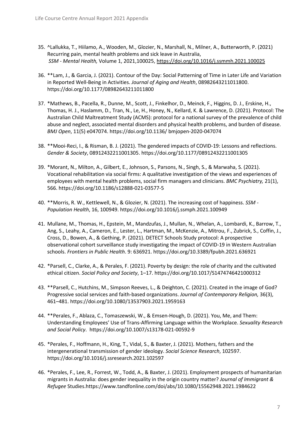- 35. ^Lallukka, T., Hiilamo, A., Wooden, M., Glozier, N., Marshall, N., Milner, A., Butterworth, P. (2021) Recurring pain, mental health problems and sick leave in Australia, *SSM - Mental Health,* Volume 1, 2021,100025,<https://doi.org/10.1016/j.ssmmh.2021.100025>
- 36. \*\*Lam, J., & Garcia, J. (2021). Contour of the Day: Social Patterning of Time in Later Life and Variation in Reported Well-Being in Activities. *Journal of Aging and Health*, 08982643211011800. <https://doi.org/10.1177/08982643211011800>
- 37. \*Mathews, B., Pacella, R., Dunne, M., Scott, J., Finkelhor, D., Meinck, F., Higgins, D. J., Erskine, H., Thomas, H. J., Haslamm, D., Tran, N., Le, H., Honey, N., Kellard, K. & Lawrence, D. (2021). Protocol: The Australian Child Maltreatment Study (ACMS): protocol for a national survey of the prevalence of child abuse and neglect, associated mental disorders and physical health problems, and burden of disease. *BMJ Open*, 11(5) e047074.<https://doi.org/10.1136/> bmjopen-2020-047074
- 38. \*\*Mooi-Reci, I., & Risman, B. J. (2021). The gendered impacts of COVID-19: Lessons and reflections. *Gender & Society*, 08912432211001305.<https://doi.org/10.1177/08912432211001305>
- 39. \*Morant, N., Milton, A., Gilbert, E., Johnson, S., Parsons, N., Singh, S., & Marwaha, S. (2021). Vocational rehabilitation via social firms: A qualitative investigation of the views and experiences of employees with mental health problems, social firm managers and clinicians. *BMC Psychiatry,* 21(1), 566[. https://doi.org/10.1186/s12888-021-03577-5](https://doi.org/10.1186/s12888-021-03577-5)
- 40. \*\*Morris, R. W., Kettlewell, N., & Glozier, N. (2021). The increasing cost of happiness. *SSM - Population Health*, 16, 100949.<https://doi.org/10.1016/j.ssmph.2021.100949>
- 41. Mullane, M., Thomas, H., Epstein, M., Mandzufas, J., Mullan, N., Whelan, A., Lombardi, K., Barrow, T., Ang, S., Leahy, A., Cameron, E., Lester, L., Hartman, M., McKenzie, A., Mitrou, F., Zubrick, S., Coffin, J., Cross, D., Bowen, A., & Gething, P. (2021). DETECT Schools Study protocol: A prospective observational cohort surveillance study investigating the impact of COVID-19 in Western Australian schools. *Frontiers in Public Health*. 9: 636921[. https://doi.org/10.3389/fpubh.2021.636921](https://doi.org/10.3389/fpubh.2021.636921)
- 42. \*Parsell, C., Clarke, A., & Perales, F. (2021). Poverty by design: the role of charity and the cultivated ethical citizen. *Social Policy and Society*, 1–17[. https://doi.org/10.1017/S1474746421000312](https://doi.org/10.1017/S1474746421000312)
- 43. \*\*Parsell, C., Hutchins, M., Simpson Reeves, L., & Deighton, C. (2021). Created in the image of God? Progressive social services and faith-based organizations. *Journal of Contemporary Religion,* 36(3), 461–481[. https://doi.org/10.1080/13537903.2021.1959163](https://doi.org/10.1080/13537903.2021.1959163)
- 44. \*\*Perales, F., Ablaza, C., Tomaszewski, W., & Emsen-Hough, D. (2021). You, Me, and Them: Understanding Employees' Use of Trans-Affirming Language within the Workplace. *Sexuality Research and Social Policy*. <https://doi.org/10.1007/s13178-021-00592-9>
- 45. \*Perales, F., Hoffmann, H., King, T., Vidal, S., & Baxter, J. (2021). Mothers, fathers and the intergenerational transmission of gender ideology. *Social Science Research*, 102597. <https://doi.org/10.1016/j.ssresearch.2021.102597>
- 46. \*Perales, F., Lee, R., Forrest, W., Todd, A., & Baxter, J. (2021). Employment prospects of humanitarian migrants in Australia: does gender inequality in the origin country matter? *Journal of Immigrant & Refugee* Studie[s.https://www.tandfonline.com/doi/abs/10.1080/15562948.2021.1984622](https://www.tandfonline.com/doi/abs/10.1080/15562948.2021.1984622)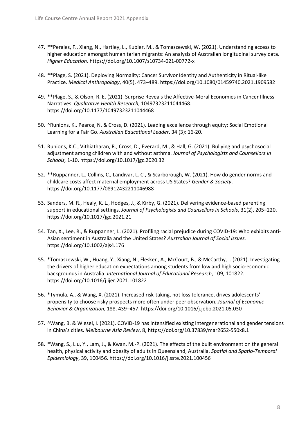- 47. \*\*Perales, F., Xiang, N., Hartley, L., Kubler, M., & Tomaszewski, W. (2021). Understanding access to higher education amongst humanitarian migrants: An analysis of Australian longitudinal survey data. *Higher Education*.<https://doi.org/10.1007/s10734-021-00772-x>
- 48. \*\*Plage, S. (2021). Deploying Normality: Cancer Survivor Identity and Authenticity in Ritual-like Practice. *Medical Anthropology*, 40(5), 473–489[. https://doi.org/10.1080/01459740.2021.1909582](https://doi.org/10.1080/01459740.2021.1909582)
- 49. \*\*Plage, S., & Olson, R. E. (2021). Surprise Reveals the Affective-Moral Economies in Cancer Illness Narratives. *Qualitative Health Research*, 10497323211044468. <https://doi.org/10.1177/10497323211044468>
- 50. ^Runions, K., Pearce, N. & Cross, D. (2021). Leading excellence through equity: Social Emotional Learning for a Fair Go. *Australian Educational Leader*. 34 (3): 16-20.
- 51. Runions, K.C., Vithiatharan, R., Cross, D., Everard, M., & Hall, G. (2021). Bullying and psychosocial adjustment among children with and without asthma. *Journal of Psychologists and Counsellors in Schools,* 1-10[. https://doi.org/10.1017/jgc.2020.32](https://doi.org/10.1017/jgc.2020.32)
- 52. \*\*Ruppanner, L., Collins, C., Landivar, L. C., & Scarborough, W. (2021). How do gender norms and childcare costs affect maternal employment across US States? *Gender & Society*. <https://doi.org/10.1177/08912432211046988>
- 53. Sanders, M. R., Healy, K. L., Hodges, J., & Kirby, G. (2021). Delivering evidence-based parenting support in educational settings. *Journal of Psychologists and Counsellors in Schools*, 31(2), 205–220. <https://doi.org/10.1017/jgc.2021.21>
- 54. Tan, X., Lee, R., & Ruppanner, L. (2021). Profiling racial prejudice during COVID-19: Who exhibits anti-Asian sentiment in Australia and the United States? *Australian Journal of Social Issues.* <https://doi.org/10.1002/ajs4.176>
- 55. \*Tomaszewski, W., Huang, Y., Xiang, N., Flesken, A., McCourt, B., & McCarthy, I. (2021). Investigating the drivers of higher education expectations among students from low and high socio-economic backgrounds in Australia. *International Journal of Educational Research*, 109, 101822. <https://doi.org/10.1016/j.ijer.2021.101822>
- 56. \*Tymula, A., & Wang, X. (2021). Increased risk-taking, not loss tolerance, drives adolescents' propensity to choose risky prospects more often under peer observation. *Journal of Economic Behavior & Organization*, 188, 439–457[. https://doi.org/10.1016/j.jebo.2021.05.030](https://doi.org/10.1016/j.jebo.2021.05.030)
- 57. ^Wang, B. & Wiesel, I. (2021). COVID-19 has intensified existing intergenerational and gender tensions in China's cities. *Melbourne Asia Review*, 8,<https://doi.org/10.37839/mar2652-550x8.1>
- 58. \*Wang, S., Liu, Y., Lam, J., & Kwan, M.-P. (2021). The effects of the built environment on the general health, physical activity and obesity of adults in Queensland, Australia. *Spatial and Spatio-Temporal Epidemiology*, 39, 100456. https://doi.org/10.1016/j.sste.2021.100456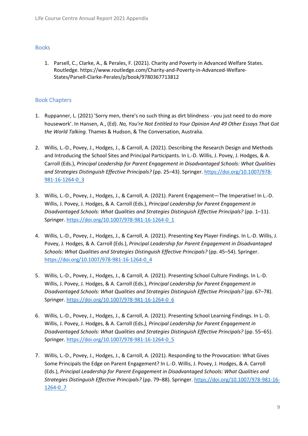# <span id="page-8-0"></span>Books

1. Parsell, C., Clarke, A., & Perales, F. (2021). Charity and Poverty in Advanced Welfare States. Routledge. [https://www.routledge.com/Charity-and-Poverty-in-Advanced-Welfare-](https://www.routledge.com/Charity-and-Poverty-in-Advanced-Welfare-States/Parsell-Clarke-Perales/p/book/9780367713812)[States/Parsell-Clarke-Perales/p/book/9780367713812](https://www.routledge.com/Charity-and-Poverty-in-Advanced-Welfare-States/Parsell-Clarke-Perales/p/book/9780367713812)

# <span id="page-8-1"></span>Book Chapters

- 1. Ruppanner, L. (2021) 'Sorry men, there's no such thing as dirt blindness you just need to do more housework'. In Hansen, A., (Ed). *No, You're Not Entitled to Your Opinion And 49 Other Essays That Got the World Talking.* Thames & Hudson, & The Conversation, Australia.
- 2. Willis, L.-D., Povey, J., Hodges, J., & Carroll, A. (2021). Describing the Research Design and Methods and Introducing the School Sites and Principal Participants. In L.-D. Willis, J. Povey, J. Hodges, & A. Carroll (Eds.), *Principal Leadership for Parent Engagement in Disadvantaged Schools: What Qualities and Strategies Distinguish Effective Principals?* (pp. 25–43). Springer. [https://doi.org/10.1007/978-](https://doi.org/10.1007/978-981-16-1264-0_3) [981-16-1264-0\\_3](https://doi.org/10.1007/978-981-16-1264-0_3)
- 3. Willis, L.-D., Povey, J., Hodges, J., & Carroll, A. (2021). Parent Engagement—The Imperative! In L.-D. Willis, J. Povey, J. Hodges, & A. Carroll (Eds.), *Principal Leadership for Parent Engagement in Disadvantaged Schools: What Qualities and Strategies Distinguish Effective Principals?* (pp. 1–11). Springer. [https://doi.org/10.1007/978-981-16-1264-0\\_1](https://doi.org/10.1007/978-981-16-1264-0_1)
- 4. Willis, L.-D., Povey, J., Hodges, J., & Carroll, A. (2021). Presenting Key Player Findings. In L.-D. Willis, J. Povey, J. Hodges, & A. Carroll (Eds.), *Principal Leadership for Parent Engagement in Disadvantaged Schools: What Qualities and Strategies Distinguish Effective Principals?* (pp. 45–54). Springer. [https://doi.org/10.1007/978-981-16-1264-0\\_4](https://doi.org/10.1007/978-981-16-1264-0_4)
- 5. Willis, L.-D., Povey, J., Hodges, J., & Carroll, A. (2021). Presenting School Culture Findings. In L.-D. Willis, J. Povey, J. Hodges, & A. Carroll (Eds.), *Principal Leadership for Parent Engagement in Disadvantaged Schools: What Qualities and Strategies Distinguish Effective Principals?* (pp. 67–78). Springer. [https://doi.org/10.1007/978-981-16-1264-0\\_6](https://doi.org/10.1007/978-981-16-1264-0_6)
- 6. Willis, L.-D., Povey, J., Hodges, J., & Carroll, A. (2021). Presenting School Learning Findings. In L.-D. Willis, J. Povey, J. Hodges, & A. Carroll (Eds*.), Principal Leadership for Parent Engagement in Disadvantaged Schools: What Qualities and Strategies Distinguish Effective Principals?* (pp. 55–65). Springer. [https://doi.org/10.1007/978-981-16-1264-0\\_5](https://doi.org/10.1007/978-981-16-1264-0_5)
- 7. Willis, L.-D., Povey, J., Hodges, J., & Carroll, A. (2021). Responding to the Provocation: What Gives Some Principals the Edge on Parent Engagement? In L.-D. Willis, J. Povey, J. Hodges, & A. Carroll (Eds.), *Principal Leadership for Parent Engagement in Disadvantaged Schools: What Qualities and Strategies Distinguish Effective Principals?* (pp. 79–88). Springer. [https://doi.org/10.1007/978-981-16-](https://doi.org/10.1007/978-981-16-1264-0_7) [1264-0\\_7](https://doi.org/10.1007/978-981-16-1264-0_7)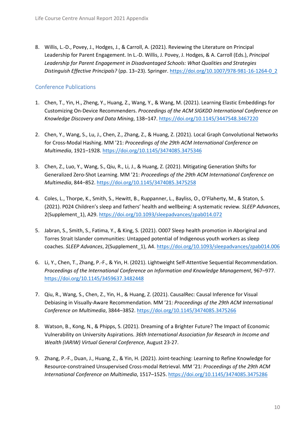8. Willis, L.-D., Povey, J., Hodges, J., & Carroll, A. (2021). Reviewing the Literature on Principal Leadership for Parent Engagement. In L.-D. Willis, J. Povey, J. Hodges, & A. Carroll (Eds.), *Principal Leadership for Parent Engagement in Disadvantaged Schools: What Qualities and Strategies Distinguish Effective Principals?* (pp. 13–23). Springer. [https://doi.org/10.1007/978-981-16-1264-0\\_2](https://doi.org/10.1007/978-981-16-1264-0_2) 

# <span id="page-9-0"></span>Conference Publications

- 1. Chen, T., Yin, H., Zheng, Y., Huang, Z., Wang, Y., & Wang, M. (2021). Learning Elastic Embeddings for Customizing On-Device Recommenders. *Proceedings of the ACM SIGKDD International Conference on Knowledge Discovery and Data Mining*, 138–147[. https://doi.org/10.1145/3447548.3467220](https://doi.org/10.1145/3447548.3467220)
- 2. Chen, Y., Wang, S., Lu, J., Chen, Z., Zhang, Z., & Huang, Z. (2021). Local Graph Convolutional Networks for Cross-Modal Hashing. MM '21: *Proceedings of the 29th ACM International Conference on Multimedia*, 1921–1928.<https://doi.org/10.1145/3474085.3475346>
- 3. Chen, Z., Luo, Y., Wang, S., Qiu, R., Li, J., & Huang, Z. (2021). Mitigating Generation Shifts for Generalized Zero-Shot Learning. MM '21: *Proceedings of the 29th ACM International Conference on Multimedia*, 844–852.<https://doi.org/10.1145/3474085.3475258>
- 4. Coles, L., Thorpe, K., Smith, S., Hewitt, B., Ruppanner, L., Bayliss, O., O'Flaherty, M., & Staton, S. (2021). P024 Children's sleep and fathers' health and wellbeing: A systematic review*. SLEEP Advances*, 2(Supplement\_1), A29[. https://doi.org/10.1093/sleepadvances/zpab014.072](https://doi.org/10.1093/sleepadvances/zpab014.072)
- 5. Jabran, S., Smith, S., Fatima, Y., & King, S. (2021). O007 Sleep health promotion in Aboriginal and Torres Strait Islander communities: Untapped potential of Indigenous youth workers as sleep coaches. *SLEEP Advances*, 2(Supplement\_1), A4.<https://doi.org/10.1093/sleepadvances/zpab014.006>
- 6. Li, Y., Chen, T., Zhang, P.-F., & Yin, H. (2021). Lightweight Self-Attentive Sequential Recommendation. *Proceedings of the International Conference on Information and Knowledge Management*, 967–977. <https://doi.org/10.1145/3459637.3482448>
- 7. Qiu, R., Wang, S., Chen, Z., Yin, H., & Huang, Z. (2021). CausalRec: Causal Inference for Visual Debiasing in Visually-Aware Recommendation. MM '21: *Proceedings of the 29th ACM International Conference on Multimedia*, 3844–3852[. https://doi.org/10.1145/3474085.3475266](https://doi.org/10.1145/3474085.3475266)
- 8. Watson, B., Kong, N., & Phipps, S. (2021). Dreaming of a Brighter Future? The Impact of Economic Vulnerability on University Aspirations. *36th International Association for Research in Income and Wealth (IARIW) Virtual General Conference*, August 23-27.
- 9. Zhang, P.-F., Duan, J., Huang, Z., & Yin, H. (2021). Joint-teaching: Learning to Refine Knowledge for Resource-constrained Unsupervised Cross-modal Retrieval. MM '21*: Proceedings of the 29th ACM International Conference on Multimedia*, 1517–1525.<https://doi.org/10.1145/3474085.3475286>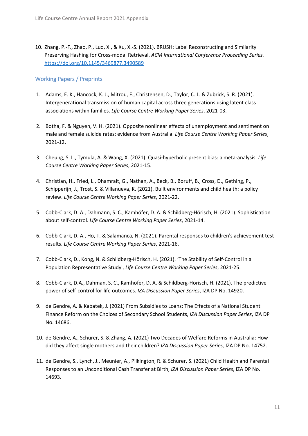10. Zhang, P.-F., Zhao, P., Luo, X., & Xu, X.-S. (2021). BRUSH: Label Reconstructing and Similarity Preserving Hashing for Cross-modal Retrieval. *ACM International Conference Proceeding Series.* <https://doi.org/10.1145/3469877.3490589>

# <span id="page-10-0"></span>Working Papers / Preprints

- 1. Adams, E. K., Hancock, K. J., Mitrou, F., Christensen, D., Taylor, C. L. & Zubrick, S. R. (2021). Intergenerational transmission of human capital across three generations using latent class associations within families. *Life Course Centre Working Paper Series*, 2021-03.
- 2. Botha, F. & Nguyen, V. H. (2021). Opposite nonlinear effects of unemployment and sentiment on male and female suicide rates: evidence from Australia. *Life Course Centre Working Paper Series*, 2021-12.
- 3. Cheung, S. L., Tymula, A. & Wang, X. (2021). Quasi-hyperbolic present bias: a meta-analysis. *Life Course Centre Working Paper Series*, 2021-15.
- 4. Christian, H., Fried, L., Dhamrait, G., Nathan, A., Beck, B., Boruff, B., Cross, D., Gething, P., Schipperijn, J., Trost, S. & Villanueva, K. (2021). Built environments and child health: a policy review. *Life Course Centre Working Paper Series*, 2021-22.
- 5. Cobb-Clark, D. A., Dahmann, S. C., Kamhöfer, D. A. & Schildberg-Hörisch, H. (2021). Sophistication about self-control. *Life Course Centre Working Paper Series*, 2021-14.
- 6. Cobb-Clark, D. A., Ho, T. & Salamanca, N. (2021). Parental responses to children's achievement test results. *Life Course Centre Working Paper Series*, 2021-16.
- 7. Cobb-Clark, D., Kong, N. & Schildberg-Hörisch, H. (2021). 'The Stability of Self-Control in a Population Representative Study', *Life Course Centre Working Paper Series*, 2021-25.
- 8. Cobb-Clark, D.A., Dahman, S. C., Kamhöfer, D. A. & Schildberg-Hörisch, H. (2021). The predictive power of self-control for life outcomes. *IZA Discussion Paper Series*, IZA DP No. 14920.
- 9. de Gendre, A. & Kabatek, J. (2021) From Subsidies to Loans: The Effects of a National Student Finance Reform on the Choices of Secondary School Students, *IZA Discussion Paper Series*, IZA DP No. 14686.
- 10. de Gendre, A., Schurer, S. & Zhang, A. (2021) Two Decades of Welfare Reforms in Australia: How did they affect single mothers and their children? *IZA Discussion Paper Series,* IZA DP No. 14752.
- 11. de Gendre, S., Lynch, J., Meunier, A., Pilkington, R. & Schurer, S. (2021) Child Health and Parental Responses to an Unconditional Cash Transfer at Birth, *IZA Discussion Paper Series*, IZA DP No. 14693.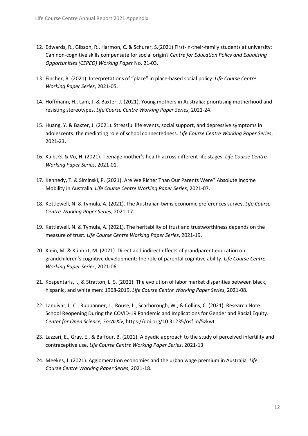- 12. Edwards, R., Gibson, R., Harmon, C. & Schurer, S.(2021) First-in-their-family students at university: Can non-cognitive skills compensate for social origin? *Centre for Education Policy and Equalising Opportunities (CEPEO) Working Paper* No. 21-03.
- 13. Fincher, R. (2021). Interpretations of "place" in place-based social policy. *Life Course Centre Working Paper Series*, 2021-05.
- 14. Hoffmann, H., Lam, J. & Baxter, J. (2021). Young mothers in Australia: prioritising motherhood and resisting stereotypes. *Life Course Centre Working Paper Series*, 2021-24.
- 15. Huang, Y. & Baxter, J. (2021). Stressful life events, social support, and depressive symptoms in adolescents: the mediating role of school connectedness. *Life Course Centre Working Paper Series*, 2021-23.
- 16. Kalb, G. & Vu, H. (2021). Teenage mother's health across different life stages. *Life Course Centre Working Paper Series*, 2021-01.
- 17. Kennedy, T. & Siminski, P. (2021). Are We Richer Than Our Parents Were? Absolute Income Mobility in Australia. *Life Course Centre Working Paper Series*, 2021-07.
- 18. Kettlewell, N. & Tymula, A. (2021). The Australian twins economic preferences survey. *Life Course Centre Working Paper Series*, 2021-17.
- 19. Kettlewell, N. & Tymula, A. (2021). The heritability of trust and trustworthiness depends on the measure of trust. *Life Course Centre Working Paper Series*, 2021-19.
- 20. Klein, M. & Kühhirt, M. (2021). Direct and indirect effects of grandparent education on grandchildren's cognitive development: the role of parental cognitive ability. *Life Course Centre Working Paper Series*, 2021-06.
- 21. Kospentaris, I., & Stratton, L. S. (2021). The evolution of labor market disparities between black, hispanic, and white men: 1968-2019. *Life Course Centre Working Paper Series*, 2021-08.
- 22. Landivar, L. C., Ruppanner, L., Rouse, L., Scarborough, W., & Collins, C. (2021). Research Note: School Reopening During the COVID-19 Pandemic and Implications for Gender and Racial Equity. *Center for Open Science, SocArXiv*, https://doi.org/10.31235/osf.io/5zkwt
- 23. Lazzari, E., Gray, E., & Baffour, B. (2021). A dyadic approach to the study of perceived infertility and contraceptive use. *Life Course Centre Working Paper Series*, 2021-13.
- 24. Meekes, J. (2021). Agglomeration economies and the urban wage premium in Australia*. Life Course Centre Working Paper Series*, 2021-18.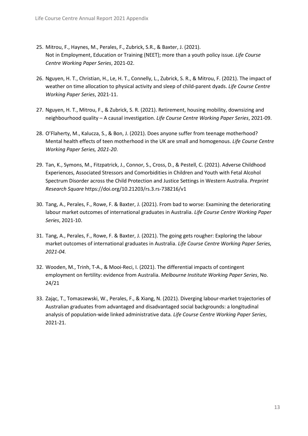- 25. Mitrou, F., Haynes, M., Perales, F., Zubrick, S.R., & Baxter, J. (2021). Not in Employment, Education or Training (NEET); more than a youth policy issue. *Life Course Centre Working Paper Series*, 2021-02.
- 26. Nguyen, H. T., Christian, H., Le, H. T., Connelly, L., Zubrick, S. R., & Mitrou, F. (2021). The impact of weather on time allocation to physical activity and sleep of child-parent dyads. *Life Course Centre Working Paper Series*, 2021-11.
- 27. Nguyen, H. T., Mitrou, F., & Zubrick, S. R. (2021). Retirement, housing mobility, downsizing and neighbourhood quality – A causal investigation. *Life Course Centre Working Paper Series*, 2021-09.
- 28. O'Flaherty, M., Kalucza, S., & Bon, J. (2021). Does anyone suffer from teenage motherhood? Mental health effects of teen motherhood in the UK are small and homogenous. *Life Course Centre Working Paper Series, 2021-20*.
- 29. Tan, K., Symons, M., Fitzpatrick, J., Connor, S., Cross, D., & Pestell, C. (2021). Adverse Childhood Experiences, Associated Stressors and Comorbidities in Children and Youth with Fetal Alcohol Spectrum Disorder across the Child Protection and Justice Settings in Western Australia. *Preprint Research Square* https://doi.org/10.21203/rs.3.rs-738216/v1
- 30. Tang, A., Perales, F., Rowe, F. & Baxter, J. (2021). From bad to worse: Examining the deteriorating labour market outcomes of international graduates in Australia. *Life Course Centre Working Paper Series*, 2021-10.
- 31. Tang, A., Perales, F., Rowe, F. & Baxter, J. (2021). The going gets rougher: Exploring the labour market outcomes of international graduates in Australia. *Life Course Centre Working Paper Series, 2021-04.*
- 32. Wooden, M., Trinh, T-A., & Mooi-Reci, I. (2021). The differential impacts of contingent employment on fertility: evidence from Australia. *Melbourne Institute Working Paper Series*, No. 24/21
- 33. Zając, T., Tomaszewski, W., Perales, F., & Xiang, N. (2021). Diverging labour-market trajectories of Australian graduates from advantaged and disadvantaged social backgrounds: a longitudinal analysis of population-wide linked administrative data*. Life Course Centre Working Paper Series*, 2021-21.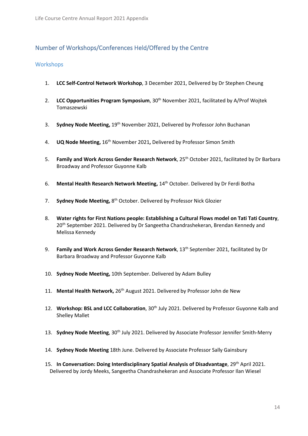# <span id="page-13-0"></span>Number of Workshops/Conferences Held/Offered by the Centre

## <span id="page-13-1"></span>**Workshops**

- 1. **LCC Self-Control Network Workshop**, 3 December 2021, Delivered by Dr Stephen Cheung
- 2. **LCC Opportunities Program Symposium**, 30<sup>th</sup> November 2021, facilitated by A/Prof Wojtek Tomaszewski
- 3. **Sydney Node Meeting,** 19th November 2021, Delivered by Professor John Buchanan
- 4. **UQ Node Meeting, 16<sup>th</sup> November 2021, Delivered by Professor Simon Smith**
- 5. **Family and Work Across Gender Research Network**, 25th October 2021, facilitated by Dr Barbara Broadway and Professor Guyonne Kalb
- 6. **Mental Health Research Network Meeting,** 14th October. Delivered by Dr Ferdi Botha
- 7. **Sydney Node Meeting, 8th October. Delivered by Professor Nick Glozier**
- 8. **Water rights for First Nations people: Establishing a Cultural Flows model on Tati Tati Country**, 20<sup>th</sup> September 2021. Delivered by Dr Sangeetha Chandrashekeran, Brendan Kennedy and Melissa Kennedy
- 9. **Family and Work Across Gender Research Network**, 13<sup>th</sup> September 2021, facilitated by Dr Barbara Broadway and Professor Guyonne Kalb
- 10. **Sydney Node Meeting,** 10th September. Delivered by Adam Bulley
- 11. **Mental Health Network,** 26th August 2021. Delivered by Professor John de New
- 12. **Workshop: BSL and LCC Collaboration**, 30th July 2021. Delivered by Professor Guyonne Kalb and Shelley Mallet
- 13. **Sydney Node Meeting**, 30<sup>th</sup> July 2021. Delivered by Associate Professor Jennifer Smith-Merry
- 14. **Sydney Node Meeting** 18th June. Delivered by Associate Professor Sally Gainsbury
- 15. **In Conversation: Doing Interdisciplinary Spatial Analysis of Disadvantage**, 29th April 2021. Delivered by Jordy Meeks, Sangeetha Chandrashekeran and Associate Professor Ilan Wiesel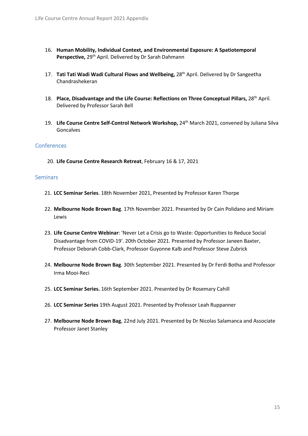- 16. **Human Mobility, Individual Context, and Environmental Exposure: A Spatiotemporal**  Perspective, 29<sup>th</sup> April. Delivered by Dr Sarah Dahmann
- 17. **Tati Tati Wadi Wadi Cultural Flows and Wellbeing,** 28th April. Delivered by Dr Sangeetha Chandrashekeran
- 18. Place, Disadvantage and the Life Course: Reflections on Three Conceptual Pillars, 28<sup>th</sup> April. Delivered by Professor Sarah Bell
- 19. **Life Course Centre Self-Control Network Workshop,** 24th March 2021, convened by Juliana Silva Goncalves

## <span id="page-14-0"></span>**Conferences**

20. **Life Course Centre Research Retreat**, February 16 & 17, 2021

## <span id="page-14-1"></span>**Seminars**

- 21. **LCC Seminar Series**. 18th November 2021, Presented by Professor Karen Thorpe
- 22. **Melbourne Node Brown Bag**. 17th November 2021. Presented by Dr Cain Polidano and Miriam Lewis
- 23. **Life Course Centre Webinar**: 'Never Let a Crisis go to Waste: Opportunities to Reduce Social Disadvantage from COVID-19'. 20th October 2021. Presented by Professor Janeen Baxter, Professor Deborah Cobb-Clark, Professor Guyonne Kalb and Professor Steve Zubrick
- 24. **Melbourne Node Brown Bag**. 30th September 2021. Presented by Dr Ferdi Botha and Professor Irma Mooi-Reci
- 25. **LCC Seminar Series.** 16th September 2021. Presented by Dr Rosemary Cahill
- 26. **LCC Seminar Series** 19th August 2021. Presented by Professor Leah Ruppanner
- 27. **Melbourne Node Brown Bag**, 22nd July 2021. Presented by Dr Nicolas Salamanca and Associate Professor Janet Stanley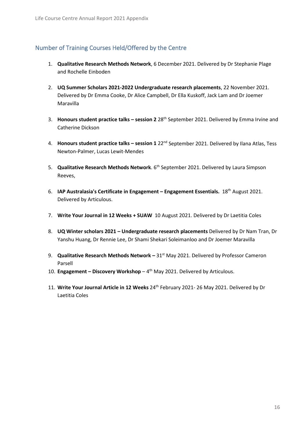# <span id="page-15-0"></span>Number of Training Courses Held/Offered by the Centre

- 1. **Qualitative Research Methods Network**, 6 December 2021. Delivered by Dr Stephanie Plage and Rochelle Einboden
- 2. **UQ Summer Scholars 2021-2022 Undergraduate research placements**, 22 November 2021. Delivered by Dr Emma Cooke, Dr Alice Campbell, Dr Ella Kuskoff, Jack Lam and Dr Joemer Maravilla
- 3. **Honours student practice talks – session 2** 28th September 2021. Delivered by Emma Irvine and Catherine Dickson
- 4. **Honours student practice talks – session 1** 22nd September 2021. Delivered by Ilana Atlas, Tess Newton-Palmer, Lucas Lewit-Mendes
- 5. **Qualitative Research Methods Network**. 6<sup>th</sup> September 2021. Delivered by Laura Simpson Reeves,
- 6. **IAP Australasia's Certificate in Engagement – Engagement Essentials.** 18th August 2021. Delivered by Articulous.
- 7. **Write Your Journal in 12 Weeks + SUAW** 10 August 2021. Delivered by Dr Laetitia Coles
- 8. **UQ Winter scholars 2021 – Undergraduate research placements** Delivered by Dr Nam Tran, Dr Yanshu Huang, Dr Rennie Lee, Dr Shami Shekari Soleimanloo and Dr Joemer Maravilla
- 9. **Qualitative Research Methods Network** 31<sup>st</sup> May 2021. Delivered by Professor Cameron Parsell
- 10. **Engagement – Discovery Workshop** 4th May 2021. Delivered by Articulous.
- 11. **Write Your Journal Article in 12 Weeks** 24th February 2021- 26 May 2021. Delivered by Dr Laetitia Coles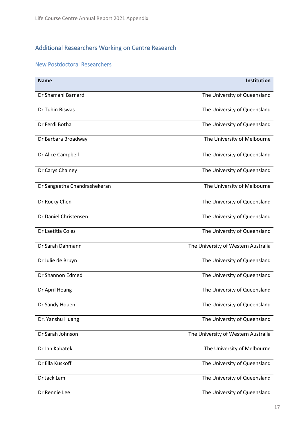# <span id="page-16-0"></span>Additional Researchers Working on Centre Research

# <span id="page-16-1"></span>New Postdoctoral Researchers

| <b>Name</b>                  | <b>Institution</b>                  |
|------------------------------|-------------------------------------|
|                              |                                     |
| Dr Shamani Barnard           | The University of Queensland        |
| Dr Tuhin Biswas              | The University of Queensland        |
|                              |                                     |
| Dr Ferdi Botha               | The University of Queensland        |
| Dr Barbara Broadway          | The University of Melbourne         |
|                              |                                     |
| Dr Alice Campbell            | The University of Queensland        |
| Dr Carys Chainey             | The University of Queensland        |
|                              |                                     |
| Dr Sangeetha Chandrashekeran | The University of Melbourne         |
|                              |                                     |
| Dr Rocky Chen                | The University of Queensland        |
| Dr Daniel Christensen        | The University of Queensland        |
|                              |                                     |
| Dr Laetitia Coles            | The University of Queensland        |
| Dr Sarah Dahmann             | The University of Western Australia |
|                              |                                     |
| Dr Julie de Bruyn            | The University of Queensland        |
| Dr Shannon Edmed             | The University of Queensland        |
|                              |                                     |
| Dr April Hoang               | The University of Queensland        |
| Dr Sandy Houen               | The University of Queensland        |
|                              |                                     |
| Dr. Yanshu Huang             | The University of Queensland        |
| Dr Sarah Johnson             | The University of Western Australia |
|                              |                                     |
| Dr Jan Kabatek               | The University of Melbourne         |
| Dr Ella Kuskoff              | The University of Queensland        |
|                              |                                     |
| Dr Jack Lam                  | The University of Queensland        |
| Dr Rennie Lee                | The University of Queensland        |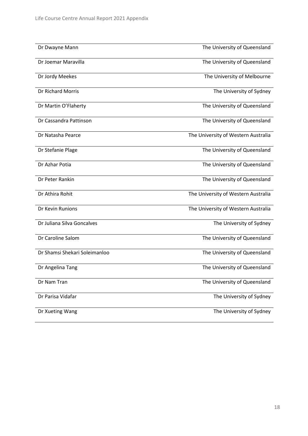| Dr Dwayne Mann                | The University of Queensland        |
|-------------------------------|-------------------------------------|
| Dr Joemar Maravilla           | The University of Queensland        |
| Dr Jordy Meekes               | The University of Melbourne         |
| Dr Richard Morris             | The University of Sydney            |
| Dr Martin O'Flaherty          | The University of Queensland        |
| Dr Cassandra Pattinson        | The University of Queensland        |
| Dr Natasha Pearce             | The University of Western Australia |
| Dr Stefanie Plage             | The University of Queensland        |
| Dr Azhar Potia                | The University of Queensland        |
| Dr Peter Rankin               | The University of Queensland        |
| Dr Athira Rohit               | The University of Western Australia |
| Dr Kevin Runions              | The University of Western Australia |
| Dr Juliana Silva Goncalves    | The University of Sydney            |
| Dr Caroline Salom             | The University of Queensland        |
| Dr Shamsi Shekari Soleimanloo | The University of Queensland        |
| Dr Angelina Tang              | The University of Queensland        |
| Dr Nam Tran                   | The University of Queensland        |
| Dr Parisa Vidafar             | The University of Sydney            |
| Dr Xueting Wang               | The University of Sydney            |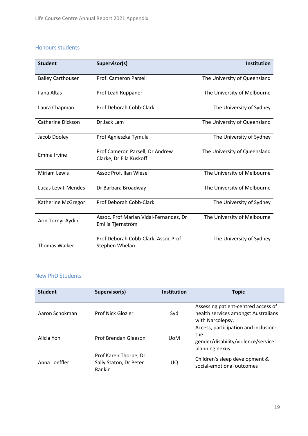# <span id="page-18-0"></span>Honours students

| <b>Student</b>           | Supervisor(s)                                               | <b>Institution</b>           |
|--------------------------|-------------------------------------------------------------|------------------------------|
| <b>Bailey Carthouser</b> | Prof. Cameron Parsell                                       | The University of Queensland |
| Ilana Altas              | Prof Leah Ruppaner                                          | The University of Melbourne  |
| Laura Chapman            | Prof Deborah Cobb-Clark                                     | The University of Sydney     |
| Catherine Dickson        | Dr Jack Lam                                                 | The University of Queensland |
| Jacob Dooley             | Prof Agnieszka Tymula                                       | The University of Sydney     |
| Emma Irvine              | Prof Cameron Parsell, Dr Andrew<br>Clarke, Dr Ella Kuskoff  | The University of Queensland |
| <b>Miriam Lewis</b>      | Assoc Prof. Ilan Wiesel                                     | The University of Melbourne  |
| Lucas Lewit-Mendes       | Dr Barbara Broadway                                         | The University of Melbourne  |
| Katherine McGregor       | Prof Deborah Cobb-Clark                                     | The University of Sydney     |
| Arin Tornyi-Aydin        | Assoc. Prof Marian Vidal-Fernandez, Dr<br>Emilia Tjernström | The University of Melbourne  |
| <b>Thomas Walker</b>     | Prof Deborah Cobb-Clark, Assoc Prof<br>Stephen Whelan       | The University of Sydney     |

# <span id="page-18-1"></span>New PhD Students

| <b>Student</b> | Supervisor(s)                                             | <b>Institution</b> | <b>Topic</b>                                                                                        |
|----------------|-----------------------------------------------------------|--------------------|-----------------------------------------------------------------------------------------------------|
| Aaron Schokman | <b>Prof Nick Glozier</b>                                  | Syd                | Assessing patient-centred access of<br>health services amongst Australians<br>with Narcolepsy.      |
| Alicia Yon     | Prof Brendan Gleeson                                      | <b>UoM</b>         | Access, participation and inclusion:<br>the<br>gender/disability/violence/service<br>planning nexus |
| Anna Loeffler  | Prof Karen Thorpe, Dr<br>Sally Staton, Dr Peter<br>Rankin | UQ                 | Children's sleep development &<br>social-emotional outcomes                                         |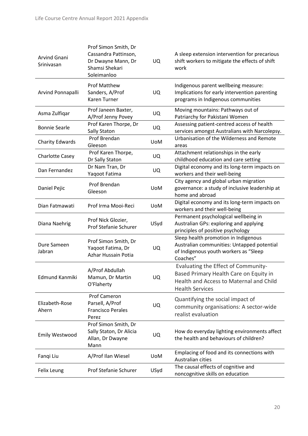| Arvind Gnani<br>Srinivasan | Prof Simon Smith, Dr<br>Cassandra Pattinson,<br>Dr Dwayne Mann, Dr<br>Shamsi Shekari<br>Soleimanloo | <b>UQ</b>  | A sleep extension intervention for precarious<br>shift workers to mitigate the effects of shift<br>work                                            |
|----------------------------|-----------------------------------------------------------------------------------------------------|------------|----------------------------------------------------------------------------------------------------------------------------------------------------|
| Arvind Ponnapalli          | <b>Prof Matthew</b><br>Sanders, A/Prof<br><b>Karen Turner</b>                                       | <b>UQ</b>  | Indigenous parent wellbeing measure:<br>Implications for early intervention parenting<br>programs in Indigenous communities                        |
| Asma Zulfiqar              | Prof Janeen Baxter,<br>A/Prof Jenny Povey                                                           | UQ         | Moving mountains: Pathways out of<br>Patriarchy for Pakistani Women                                                                                |
| <b>Bonnie Searle</b>       | Prof Karen Thorpe, Dr<br>Sally Staton                                                               | UQ         | Assessing patient-centred access of health<br>services amongst Australians with Narcolepsy.                                                        |
| Charity Edwards            | Prof Brendan<br>Gleeson                                                                             | <b>UoM</b> | Urbanisation of the Wilderness and Remote<br>areas                                                                                                 |
| <b>Charlotte Casey</b>     | Prof Karen Thorpe,<br>Dr Sally Staton                                                               | <b>UQ</b>  | Attachment relationships in the early<br>childhood education and care setting                                                                      |
| Dan Fernandez              | Dr Nam Tran, Dr<br>Yaqoot Fatima                                                                    | UQ.        | Digital economy and its long-term impacts on<br>workers and their well-being                                                                       |
| Daniel Pejic               | Prof Brendan<br>Gleeson                                                                             | <b>UoM</b> | City agency and global urban migration<br>governance: a study of inclusive leadership at<br>home and abroad                                        |
| Dian Fatmawati             | Prof Irma Mooi-Reci                                                                                 | <b>UoM</b> | Digital economy and its long-term impacts on<br>workers and their well-being                                                                       |
| Diana Naehrig              | Prof Nick Glozier,<br>Prof Stefanie Schurer                                                         | USyd       | Permanent psychological wellbeing in<br>Australian GPs: exploring and applying<br>principles of positive psychology                                |
| Dure Sameen<br>Jabran      | Prof Simon Smith, Dr<br>Yaqoot Fatima, Dr<br>Azhar Hussain Potia                                    | UQ.        | Sleep health promotion in Indigenous<br>Australian communities: Untapped potential<br>of Indigenous youth workers as "Sleep<br>Coaches"            |
| Edmund Kanmiki             | A/Prof Abdullah<br>Mamun, Dr Martin<br>O'Flaherty                                                   | UQ         | Evaluating the Effect of Community-<br>Based Primary Health Care on Equity in<br>Health and Access to Maternal and Child<br><b>Health Services</b> |
| Elizabeth-Rose<br>Ahern    | <b>Prof Cameron</b><br>Parsell, A/Prof<br><b>Francisco Perales</b><br>Perez                         | <b>UQ</b>  | Quantifying the social impact of<br>community organisations: A sector-wide<br>realist evaluation                                                   |
| Emily Westwood             | Prof Simon Smith, Dr<br>Sally Staton, Dr Alicia<br>Allan, Dr Dwayne<br>Mann                         | UQ.        | How do everyday lighting environments affect<br>the health and behaviours of children?                                                             |
| Fanqi Liu                  | A/Prof Ilan Wiesel                                                                                  | <b>UoM</b> | Emplacing of food and its connections with<br>Australian cities                                                                                    |
| Felix Leung                | Prof Stefanie Schurer                                                                               | USyd       | The causal effects of cognitive and<br>noncognitive skills on education                                                                            |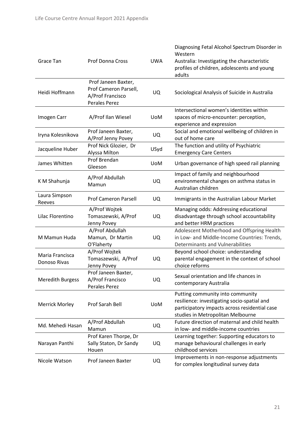| Grace Tan                       | Prof Donna Cross                                                                  | <b>UWA</b> | Diagnosing Fetal Alcohol Spectrum Disorder in<br>Western<br>Australia: Investigating the characteristic<br>profiles of children, adolescents and young<br>adults      |
|---------------------------------|-----------------------------------------------------------------------------------|------------|-----------------------------------------------------------------------------------------------------------------------------------------------------------------------|
| Heidi Hoffmann                  | Prof Janeen Baxter,<br>Prof Cameron Parsell,<br>A/Prof Francisco<br>Perales Perez | <b>UQ</b>  | Sociological Analysis of Suicide in Australia                                                                                                                         |
| Imogen Carr                     | A/Prof Ilan Wiesel                                                                | <b>UoM</b> | Intersectional women's identities within<br>spaces of micro-encounter: perception,<br>experience and expression                                                       |
| Iryna Kolesnikova               | Prof Janeen Baxter,<br>A/Prof Jenny Povey                                         | UQ         | Social and emotional wellbeing of children in<br>out of home care                                                                                                     |
| Jacqueline Huber                | Prof Nick Glozier, Dr<br>Alyssa Milton                                            | USyd       | The function and utility of Psychiatric<br><b>Emergency Care Centers</b>                                                                                              |
| James Whitten                   | Prof Brendan<br>Gleeson                                                           | <b>UoM</b> | Urban governance of high speed rail planning                                                                                                                          |
| K M Shahunja                    | A/Prof Abdullah<br>Mamun                                                          | <b>UQ</b>  | Impact of family and neighbourhood<br>environmental changes on asthma status in<br>Australian children                                                                |
| Laura Simpson<br>Reeves         | <b>Prof Cameron Parsell</b>                                                       | <b>UQ</b>  | Immigrants in the Australian Labour Market                                                                                                                            |
| Lilac Florentino                | A/Prof Wojtek<br>Tomaszewski, A/Prof<br>Jenny Povey                               | <b>UQ</b>  | Managing odds: Addressing educational<br>disadvantage through school accountability<br>and better HRM practices                                                       |
| M Mamun Huda                    | A/Prof Abdullah<br>Mamun, Dr Martin<br>O'Flaherty                                 | <b>UQ</b>  | Adolescent Motherhood and Offspring Health<br>in Low- and Middle-Income Countries: Trends,<br><b>Determinants and Vulnerabilities</b>                                 |
| Maria Francisca<br>Donoso Rivas | A/Prof Wojtek<br>Tomaszewski, A/Prof<br>Jenny Povey                               | UQ.        | Beyond school choice: understanding<br>parental engagement in the context of school<br>choice reforms                                                                 |
| <b>Meredith Burgess</b>         | Prof Janeen Baxter,<br>A/Prof Francisco<br><b>Perales Perez</b>                   | <b>UQ</b>  | Sexual orientation and life chances in<br>contemporary Australia                                                                                                      |
| <b>Merrick Morley</b>           | Prof Sarah Bell                                                                   | <b>UoM</b> | Putting community into community<br>resilience: investigating socio-spatial and<br>participatory impacts across residential case<br>studies in Metropolitan Melbourne |
| Md. Mehedi Hasan                | A/Prof Abdullah<br>Mamun                                                          | <b>UQ</b>  | Future direction of maternal and child health<br>in low- and middle-income countries                                                                                  |
| Narayan Panthi                  | Prof Karen Thorpe, Dr<br>Sally Staton, Dr Sandy<br>Houen                          | UQ         | Learning together: Supporting educators to<br>manage behavioural challenges in early<br>childhood services                                                            |
| Nicole Watson                   | Prof Janeen Baxter                                                                | UQ.        | Improvements in non-response adjustments<br>for complex longitudinal survey data                                                                                      |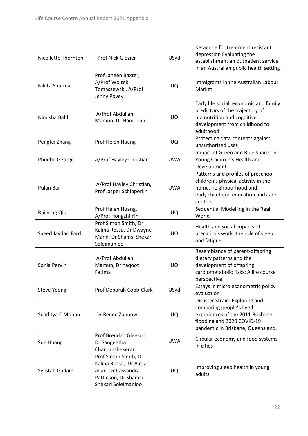| Nicollette Thornton | Prof Nick Glozier                                                                                                     | USyd       | Ketamine for treatment resistant<br>depression Evaluating the<br>establishment an outpatient service<br>in an Australian public health setting                    |
|---------------------|-----------------------------------------------------------------------------------------------------------------------|------------|-------------------------------------------------------------------------------------------------------------------------------------------------------------------|
| Nikita Sharma       | Prof Janeen Baxter,<br>A/Prof Wojtek<br>Tomaszewski, A/Prof<br>Jenny Povey                                            | UQ         | Immigrants in the Australian Labour<br>Market                                                                                                                     |
| Nimisha Bahl        | A/Prof Abdullah<br>Mamun, Dr Nam Tran                                                                                 | UQ         | Early life social, economic and family<br>predictors of the trajectory of<br>malnutrition and cognitive<br>development from childhood to<br>adulthood             |
| Pengfei Zhang       | Prof Helen Huang                                                                                                      | UQ         | Protecting data contents against<br>unauthorized uses                                                                                                             |
| Phoebe George       | A/Prof Hayley Christian                                                                                               | <b>UWA</b> | Impact of Green and Blue Space on<br>Young Children's Health and<br>Development                                                                                   |
| Pulan Bai           | A/Prof Hayley Christian,<br>Prof Jasper Schipperijn                                                                   | <b>UWA</b> | Patterns and profiles of preschool<br>children's physical activity in the<br>home, neighbourhood and<br>early childhood education and care<br>centres             |
| <b>Ruihong Qiu</b>  | Prof Helen Huang,<br>A/Prof Hongzhi Yin                                                                               | UQ         | Sequential Modelling in the Real<br>World                                                                                                                         |
| Saeed Jaydari Fard  | Prof Simon Smith, Dr<br>Kalina Rossa, Dr Dwayne<br>Mann, Dr Shamsi Shekari<br>Soleimanloo                             | UQ         | Health and social impacts of<br>precarious work: the role of sleep<br>and fatigue.                                                                                |
| Sonia Pervin        | A/Prof Abdullah<br>Mamun, Dr Yaqoot<br>Fatima                                                                         | UQ         | Resemblance of parent-offspring<br>dietary patterns and the<br>development of offspring<br>cardiometabolic risks: A life course<br>perspective                    |
| <b>Steve Yeong</b>  | Prof Deborah Cobb-Clark                                                                                               | USyd       | Essays in micro econometric policy<br>evaluation                                                                                                                  |
| Suaditya C Mohan    | Dr Renee Zahnow                                                                                                       | UQ         | Disaster Strain: Exploring and<br>comparing people's lived<br>experiences of the 2011 Brisbane<br>flooding and 2020 COVID-19<br>pandemic in Brisbane, Queensland. |
| Sue Huang           | Prof Brendan Gleeson,<br>Dr Sangeetha<br>Chandrashekeran                                                              | <b>UWA</b> | Circular economy and food systems<br>in cities                                                                                                                    |
| Sylistah Gadam      | Prof Simon Smith, Dr<br>Kalina Rossa, Dr Alicia<br>Allan, Dr Cassandra<br>Pattinson, Dr Shamsi<br>Shekari Soleimanloo | UQ         | Improving sleep health in young<br>adults                                                                                                                         |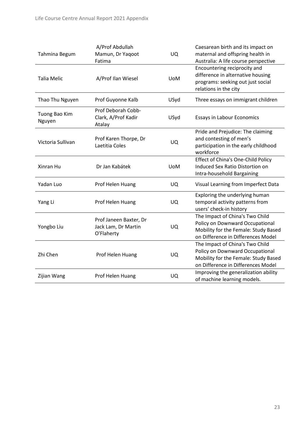|                    | A/Prof Abdullah        |            | Caesarean birth and its impact on    |
|--------------------|------------------------|------------|--------------------------------------|
| Tahmina Begum      | Mamun, Dr Yaqoot       | UQ         | maternal and offspring health in     |
|                    | Fatima                 |            | Australia: A life course perspective |
|                    |                        |            | Encountering reciprocity and         |
| <b>Talia Melic</b> | A/Prof Ilan Wiesel     | <b>UoM</b> | difference in alternative housing    |
|                    |                        |            | programs: seeking out just social    |
|                    |                        |            | relations in the city                |
| Thao Thu Nguyen    | Prof Guyonne Kalb      | USyd       | Three essays on immigrant children   |
| Tuong Bao Kim      | Prof Deborah Cobb-     |            |                                      |
| Nguyen             | Clark, A/Prof Kadir    | USyd       | Essays in Labour Economics           |
|                    | Atalay                 |            |                                      |
|                    |                        |            | Pride and Prejudice: The claiming    |
| Victoria Sullivan  | Prof Karen Thorpe, Dr  | UQ         | and contesting of men's              |
|                    | Laetitia Coles         |            | participation in the early childhood |
|                    |                        |            | workforce                            |
|                    |                        | <b>UoM</b> | Effect of China's One-Child Policy   |
| Xinran Hu          | Dr Jan Kabátek         |            | Induced Sex Ratio Distortion on      |
|                    |                        |            | Intra-household Bargaining           |
| Yadan Luo          | Prof Helen Huang       | UQ         | Visual Learning from Imperfect Data  |
|                    |                        |            | Exploring the underlying human       |
| Yang Li            | Prof Helen Huang       | UQ         | temporal activity patterns from      |
|                    |                        |            | users' check-in history              |
|                    | Prof Janeen Baxter, Dr |            | The Impact of China's Two Child      |
| Yongbo Liu         | Jack Lam, Dr Martin    | UQ         | Policy on Downward Occupational      |
|                    | O'Flaherty             |            | Mobility for the Female: Study Based |
|                    |                        |            | on Difference in Differences Model   |
| Zhi Chen           |                        |            | The Impact of China's Two Child      |
|                    | Prof Helen Huang       | UQ         | Policy on Downward Occupational      |
|                    |                        |            | Mobility for the Female: Study Based |
|                    |                        |            | on Difference in Differences Model   |
| Zijian Wang        | Prof Helen Huang       | UQ         | Improving the generalization ability |
|                    |                        |            | of machine learning models.          |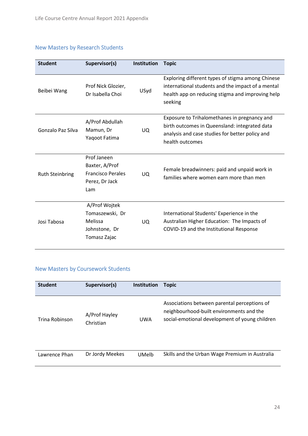# <span id="page-23-0"></span>New Masters by Research Students

| <b>Student</b>         | Supervisor(s)                                                                      | Institution | <b>Topic</b>                                                                                                                                                          |
|------------------------|------------------------------------------------------------------------------------|-------------|-----------------------------------------------------------------------------------------------------------------------------------------------------------------------|
| Beibei Wang            | Prof Nick Glozier,<br>Dr Isabella Choi                                             | USyd        | Exploring different types of stigma among Chinese<br>international students and the impact of a mental<br>health app on reducing stigma and improving help<br>seeking |
| Gonzalo Paz Silva      | A/Prof Abdullah<br>Mamun, Dr<br>Yaqoot Fatima                                      | UQ.         | Exposure to Trihalomethanes in pregnancy and<br>birth outcomes in Queensland: integrated data<br>analysis and case studies for better policy and<br>health outcomes   |
| <b>Ruth Steinbring</b> | Prof Janeen<br>Baxter, A/Prof<br><b>Francisco Perales</b><br>Perez, Dr Jack<br>Lam | <b>UO</b>   | Female breadwinners: paid and unpaid work in<br>families where women earn more than men                                                                               |
| Josi Tabosa            | A/Prof Wojtek<br>Tomaszewski, Dr<br>Melissa<br>Johnstone, Dr<br>Tomasz Zajac       | UQ.         | International Students' Experience in the<br>Australian Higher Education: The Impacts of<br>COVID-19 and the Institutional Response                                   |

# <span id="page-23-1"></span>New Masters by Coursework Students

| <b>Student</b> | Supervisor(s)              | Institution | Topic                                                                                                                                      |
|----------------|----------------------------|-------------|--------------------------------------------------------------------------------------------------------------------------------------------|
| Trina Robinson | A/Prof Hayley<br>Christian | UWA         | Associations between parental perceptions of<br>neighbourhood-built environments and the<br>social-emotional development of young children |
| Lawrence Phan  | Dr Jordy Meekes            | UMelb       | Skills and the Urban Wage Premium in Australia                                                                                             |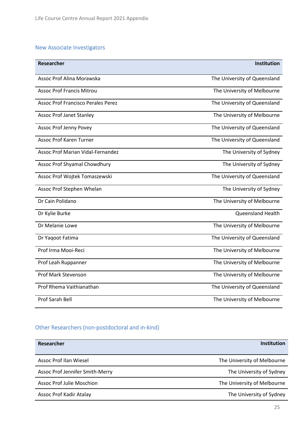# <span id="page-24-0"></span>New Associate Investigators

| <b>Researcher</b>                         | <b>Institution</b>           |
|-------------------------------------------|------------------------------|
| Assoc Prof Alina Morawska                 | The University of Queensland |
| <b>Assoc Prof Francis Mitrou</b>          | The University of Melbourne  |
| <b>Assoc Prof Francisco Perales Perez</b> | The University of Queensland |
| <b>Assoc Prof Janet Stanley</b>           | The University of Melbourne  |
| <b>Assoc Prof Jenny Povey</b>             | The University of Queensland |
| <b>Assoc Prof Karen Turner</b>            | The University of Queensland |
| <b>Assoc Prof Marian Vidal-Fernandez</b>  | The University of Sydney     |
| Assoc Prof Shyamal Chowdhury              | The University of Sydney     |
| Assoc Prof Wojtek Tomaszewski             | The University of Queensland |
| Assoc Prof Stephen Whelan                 | The University of Sydney     |
| Dr Cain Polidano                          | The University of Melbourne  |
| Dr Kylie Burke                            | <b>Queensland Health</b>     |
| Dr Melanie Lowe                           | The University of Melbourne  |
| Dr Yaqoot Fatima                          | The University of Queensland |
| Prof Irma Mooi-Reci                       | The University of Melbourne  |
| Prof Leah Ruppanner                       | The University of Melbourne  |
| <b>Prof Mark Stevenson</b>                | The University of Melbourne  |
| Prof Rhema Vaithianathan                  | The University of Queensland |
| Prof Sarah Bell                           | The University of Melbourne  |

# <span id="page-24-1"></span>Other Researchers (non-postdoctoral and in-kind)

| Researcher                       | Institution                 |
|----------------------------------|-----------------------------|
| Assoc Prof Ilan Wiesel           | The University of Melbourne |
| Assoc Prof Jennifer Smith-Merry  | The University of Sydney    |
| <b>Assoc Prof Julie Moschion</b> | The University of Melbourne |
| Assoc Prof Kadir Atalay          | The University of Sydney    |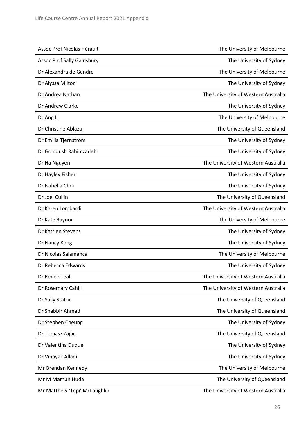| Assoc Prof Nicolas Hérault        | The University of Melbourne         |
|-----------------------------------|-------------------------------------|
| <b>Assoc Prof Sally Gainsbury</b> | The University of Sydney            |
| Dr Alexandra de Gendre            | The University of Melbourne         |
| Dr Alyssa Milton                  | The University of Sydney            |
| Dr Andrea Nathan                  | The University of Western Australia |
| Dr Andrew Clarke                  | The University of Sydney            |
| Dr Ang Li                         | The University of Melbourne         |
| Dr Christine Ablaza               | The University of Queensland        |
| Dr Emilia Tjernström              | The University of Sydney            |
| Dr Golnoush Rahimzadeh            | The University of Sydney            |
| Dr Ha Nguyen                      | The University of Western Australia |
| Dr Hayley Fisher                  | The University of Sydney            |
| Dr Isabella Choi                  | The University of Sydney            |
| Dr Joel Cullin                    | The University of Queensland        |
| Dr Karen Lombardi                 | The University of Western Australia |
| Dr Kate Raynor                    | The University of Melbourne         |
| Dr Katrien Stevens                | The University of Sydney            |
| Dr Nancy Kong                     | The University of Sydney            |
| Dr Nicolas Salamanca              | The University of Melbourne         |
| Dr Rebecca Edwards                | The University of Sydney            |
| Dr Renee Teal                     | The University of Western Australia |
| Dr Rosemary Cahill                | The University of Western Australia |
| Dr Sally Staton                   | The University of Queensland        |
| Dr Shabbir Ahmad                  | The University of Queensland        |
| Dr Stephen Cheung                 | The University of Sydney            |
| Dr Tomasz Zajac                   | The University of Queensland        |
| Dr Valentina Duque                | The University of Sydney            |
| Dr Vinayak Alladi                 | The University of Sydney            |
| Mr Brendan Kennedy                | The University of Melbourne         |
| Mr M Mamun Huda                   | The University of Queensland        |
| Mr Matthew 'Tepi' McLaughlin      | The University of Western Australia |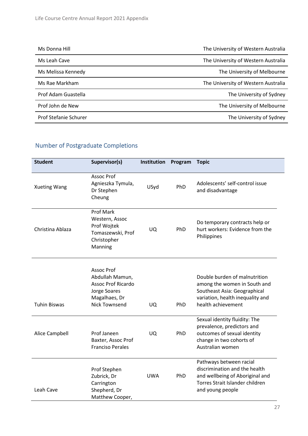| Ms Donna Hill                | The University of Western Australia |
|------------------------------|-------------------------------------|
| Ms Leah Cave                 | The University of Western Australia |
| Ms Melissa Kennedy           | The University of Melbourne         |
| Ms Rae Markham               | The University of Western Australia |
| Prof Adam Guastella          | The University of Sydney            |
| Prof John de New             | The University of Melbourne         |
| <b>Prof Stefanie Schurer</b> | The University of Sydney            |

# <span id="page-26-0"></span>Number of Postgraduate Completions

| <b>Student</b>      | Supervisor(s)                                                                                                              | Institution | Program | <b>Topic</b>                                                                                                                                            |
|---------------------|----------------------------------------------------------------------------------------------------------------------------|-------------|---------|---------------------------------------------------------------------------------------------------------------------------------------------------------|
| <b>Xueting Wang</b> | Assoc Prof<br>Agnieszka Tymula,<br>Dr Stephen<br>Cheung                                                                    | USyd        | PhD     | Adolescents' self-control issue<br>and disadvantage                                                                                                     |
| Christina Ablaza    | Prof Mark<br>Western, Assoc<br>Prof Wojtek<br>Tomaszewski, Prof<br>Christopher<br>Manning                                  | <b>UQ</b>   | PhD     | Do temporary contracts help or<br>hurt workers: Evidence from the<br>Philippines                                                                        |
| <b>Tuhin Biswas</b> | <b>Assoc Prof</b><br>Abdullah Mamun,<br><b>Assoc Prof Ricardo</b><br>Jorge Soares<br>Magalhaes, Dr<br><b>Nick Townsend</b> | UQ.         | PhD     | Double burden of malnutrition<br>among the women in South and<br>Southeast Asia: Geographical<br>variation, health inequality and<br>health achievement |
| Alice Campbell      | Prof Janeen<br>Baxter, Assoc Prof<br><b>Franciso Perales</b>                                                               | UQ.         | PhD     | Sexual identity fluidity: The<br>prevalence, predictors and<br>outcomes of sexual identity<br>change in two cohorts of<br>Australian women              |
| Leah Cave           | Prof Stephen<br>Zubrick, Dr<br>Carrington<br>Shepherd, Dr<br>Matthew Cooper,                                               | <b>UWA</b>  | PhD     | Pathways between racial<br>discrimination and the health<br>and wellbeing of Aboriginal and<br>Torres Strait Islander children<br>and young people      |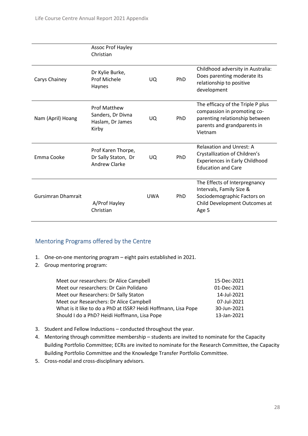|                           | Assoc Prof Hayley<br>Christian                                        |            |            |                                                                                                                                              |
|---------------------------|-----------------------------------------------------------------------|------------|------------|----------------------------------------------------------------------------------------------------------------------------------------------|
| Carys Chainey             | Dr Kylie Burke,<br>Prof Michele<br>Haynes                             | UQ.        | PhD        | Childhood adversity in Australia:<br>Does parenting moderate its<br>relationship to positive<br>development                                  |
| Nam (April) Hoang         | <b>Prof Matthew</b><br>Sanders, Dr Divna<br>Haslam, Dr James<br>Kirby | UQ.        | PhD        | The efficacy of the Triple P plus<br>compassion in promoting co-<br>parenting relationship between<br>parents and grandparents in<br>Vietnam |
| Emma Cooke                | Prof Karen Thorpe,<br>Dr Sally Staton, Dr<br><b>Andrew Clarke</b>     | UQ.        | PhD        | <b>Relaxation and Unrest: A</b><br>Crystallization of Children's<br>Experiences in Early Childhood<br><b>Education and Care</b>              |
| <b>Gursimran Dhamrait</b> | A/Prof Hayley<br>Christian                                            | <b>UWA</b> | <b>PhD</b> | The Effects of Interpregnancy<br>Intervals, Family Size &<br>Sociodemographic Factors on<br>Child Development Outcomes at<br>Age 5           |

# <span id="page-27-0"></span>Mentoring Programs offered by the Centre

- 1. One-on-one mentoring program eight pairs established in 2021.
- 2. Group mentoring program:

| Meet our researchers: Dr Alice Campbell                        | 15-Dec-2021 |
|----------------------------------------------------------------|-------------|
| Meet our researchers: Dr Cain Polidano                         | 01-Dec-2021 |
| Meet our Researchers: Dr Sally Staton                          | 14-Jul-2021 |
| Meet our Researchers: Dr Alice Campbell                        | 07-Jul-2021 |
| What is it like to do a PhD at ISSR? Heidi Hoffmann, Lisa Pope | 30-Jun-2021 |
| Should I do a PhD? Heidi Hoffmann, Lisa Pope                   | 13-Jan-2021 |

- 3. Student and Fellow Inductions conducted throughout the year.
- 4. Mentoring through committee membership students are invited to nominate for the Capacity Building Portfolio Committee; ECRs are invited to nominate for the Research Committee, the Capacity Building Portfolio Committee and the Knowledge Transfer Portfolio Committee.
- 5. Cross-nodal and cross-disciplinary advisors.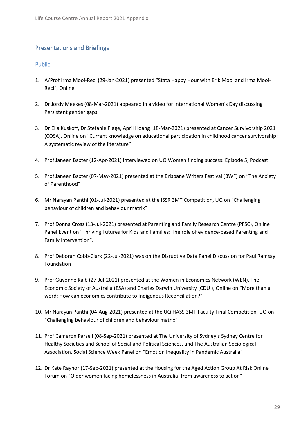# <span id="page-28-0"></span>Presentations and Briefings

## <span id="page-28-1"></span>Public

- 1. A/Prof Irma Mooi-Reci (29-Jan-2021) presented "Stata Happy Hour with Erik Mooi and Irma Mooi-Reci", Online
- 2. Dr Jordy Meekes (08-Mar-2021) appeared in a video for International Women's Day discussing Persistent gender gaps.
- 3. Dr Ella Kuskoff, Dr Stefanie Plage, April Hoang (18-Mar-2021) presented at Cancer Survivorship 2021 (COSA), Online on "Current knowledge on educational participation in childhood cancer survivorship: A systematic review of the literature"
- 4. Prof Janeen Baxter (12-Apr-2021) interviewed on UQ Women finding success: Episode 5, Podcast
- 5. Prof Janeen Baxter (07-May-2021) presented at the Brisbane Writers Festival (BWF) on "The Anxiety of Parenthood"
- 6. Mr Narayan Panthi (01-Jul-2021) presented at the ISSR 3MT Competition, UQ on "Challenging behaviour of children and behaviour matrix"
- 7. Prof Donna Cross (13-Jul-2021) presented at Parenting and Family Research Centre (PFSC), Online Panel Event on "Thriving Futures for Kids and Families: The role of evidence-based Parenting and Family Intervention".
- 8. Prof Deborah Cobb-Clark (22-Jul-2021) was on the Disruptive Data Panel Discussion for Paul Ramsay Foundation
- 9. Prof Guyonne Kalb (27-Jul-2021) presented at the Women in Economics Network (WEN), The Economic Society of Australia (ESA) and Charles Darwin University (CDU ), Online on "More than a word: How can economics contribute to Indigenous Reconciliation?"
- 10. Mr Narayan Panthi (04-Aug-2021) presented at the UQ HASS 3MT Faculty Final Competition, UQ on "Challenging behaviour of children and behaviour matrix"
- 11. Prof Cameron Parsell (08-Sep-2021) presented at The University of Sydney's Sydney Centre for Healthy Societies and School of Social and Political Sciences, and The Australian Sociological Association, Social Science Week Panel on "Emotion Inequality in Pandemic Australia"
- 12. Dr Kate Raynor (17-Sep-2021) presented at the Housing for the Aged Action Group At Risk Online Forum on "Older women facing homelessness in Australia: from awareness to action"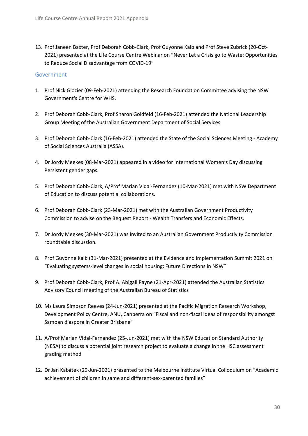13. Prof Janeen Baxter, Prof Deborah Cobb-Clark, Prof Guyonne Kalb and Prof Steve Zubrick (20-Oct-2021) presented at the Life Course Centre Webinar on **"**Never Let a Crisis go to Waste: Opportunities to Reduce Social Disadvantage from COVID-19"

## <span id="page-29-0"></span>Government

- 1. Prof Nick Glozier (09-Feb-2021) attending the Research Foundation Committee advising the NSW Government's Centre for WHS.
- 2. Prof Deborah Cobb-Clark, Prof Sharon Goldfeld (16-Feb-2021) attended the National Leadership Group Meeting of the Australian Government Department of Social Services
- 3. Prof Deborah Cobb-Clark (16-Feb-2021) attended the State of the Social Sciences Meeting Academy of Social Sciences Australia (ASSA).
- 4. Dr Jordy Meekes (08-Mar-2021) appeared in a video for International Women's Day discussing Persistent gender gaps.
- 5. Prof Deborah Cobb-Clark, A/Prof Marian Vidal-Fernandez (10-Mar-2021) met with NSW Department of Education to discuss potential collaborations.
- 6. Prof Deborah Cobb-Clark (23-Mar-2021) met with the Australian Government Productivity Commission to advise on the Bequest Report - Wealth Transfers and Economic Effects.
- 7. Dr Jordy Meekes (30-Mar-2021) was invited to an Australian Government Productivity Commission roundtable discussion.
- 8. Prof Guyonne Kalb (31-Mar-2021) presented at the Evidence and Implementation Summit 2021 on "Evaluating systems-level changes in social housing: Future Directions in NSW"
- 9. Prof Deborah Cobb-Clark, Prof A. Abigail Payne (21-Apr-2021) attended the Australian Statistics Advisory Council meeting of the Australian Bureau of Statistics
- 10. Ms Laura Simpson Reeves (24-Jun-2021) presented at the Pacific Migration Research Workshop, Development Policy Centre, ANU, Canberra on "Fiscal and non-fiscal ideas of responsibility amongst Samoan diaspora in Greater Brisbane"
- 11. A/Prof Marian Vidal-Fernandez (25-Jun-2021) met with the NSW Education Standard Authority (NESA) to discuss a potential joint research project to evaluate a change in the HSC assessment grading method
- 12. Dr Jan Kabátek (29-Jun-2021) presented to the Melbourne Institute Virtual Colloquium on "Academic achievement of children in same and different-sex-parented families"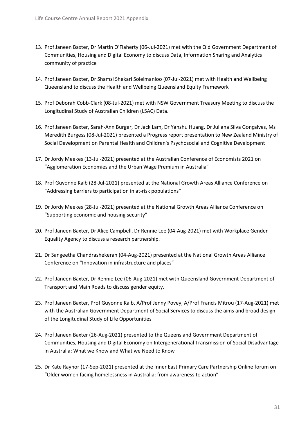- 13. Prof Janeen Baxter, Dr Martin O'Flaherty (06-Jul-2021) met with the Qld Government Department of Communities, Housing and Digital Economy to discuss Data, Information Sharing and Analytics community of practice
- 14. Prof Janeen Baxter, Dr Shamsi Shekari Soleimanloo (07-Jul-2021) met with Health and Wellbeing Queensland to discuss the Health and Wellbeing Queensland Equity Framework
- 15. Prof Deborah Cobb-Clark (08-Jul-2021) met with NSW Government Treasury Meeting to discuss the Longitudinal Study of Australian Children (LSAC) Data.
- 16. Prof Janeen Baxter, Sarah-Ann Burger, Dr Jack Lam, Dr Yanshu Huang, Dr Juliana Silva Gonçalves, Ms Meredith Burgess (08-Jul-2021) presented a Progress report presentation to New Zealand Ministry of Social Development on Parental Health and Children's Psychosocial and Cognitive Development
- 17. Dr Jordy Meekes (13-Jul-2021) presented at the Australian Conference of Economists 2021 on "Agglomeration Economies and the Urban Wage Premium in Australia"
- 18. Prof Guyonne Kalb (28-Jul-2021) presented at the National Growth Areas Alliance Conference on "Addressing barriers to participation in at-risk populations"
- 19. Dr Jordy Meekes (28-Jul-2021) presented at the National Growth Areas Alliance Conference on "Supporting economic and housing security"
- 20. Prof Janeen Baxter, Dr Alice Campbell, Dr Rennie Lee (04-Aug-2021) met with Workplace Gender Equality Agency to discuss a research partnership.
- 21. Dr Sangeetha Chandrashekeran (04-Aug-2021) presented at the National Growth Areas Alliance Conference on "Innovation in infrastructure and places"
- 22. Prof Janeen Baxter, Dr Rennie Lee (06-Aug-2021) met with Queensland Government Department of Transport and Main Roads to discuss gender equity.
- 23. Prof Janeen Baxter, Prof Guyonne Kalb, A/Prof Jenny Povey, A/Prof Francis Mitrou (17-Aug-2021) met with the Australian Government Department of Social Services to discuss the aims and broad design of the Longitudinal Study of Life Opportunities
- 24. Prof Janeen Baxter (26-Aug-2021) presented to the Queensland Government Department of Communities, Housing and Digital Economy on Intergenerational Transmission of Social Disadvantage in Australia: What we Know and What we Need to Know
- 25. Dr Kate Raynor (17-Sep-2021) presented at the Inner East Primary Care Partnership Online forum on "Older women facing homelessness in Australia: from awareness to action"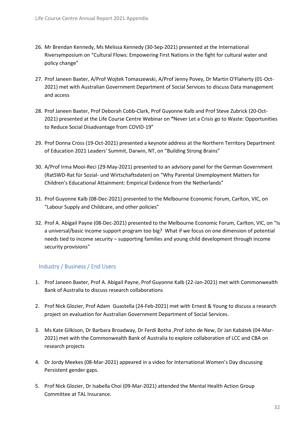- 26. Mr Brendan Kennedy, Ms Melissa Kennedy (30-Sep-2021) presented at the International Riversymposium on "Cultural Flows: Empowering First Nations in the fight for cultural water and policy change"
- 27. Prof Janeen Baxter, A/Prof Wojtek Tomaszewski, A/Prof Jenny Povey, Dr Martin O'Flaherty (01-Oct-2021) met with Australian Government Department of Social Services to discuss Data management and access
- 28. Prof Janeen Baxter, Prof Deborah Cobb-Clark, Prof Guyonne Kalb and Prof Steve Zubrick (20-Oct-2021) presented at the Life Course Centre Webinar on **"**Never Let a Crisis go to Waste: Opportunities to Reduce Social Disadvantage from COVID-19"
- 29. Prof Donna Cross (19-Oct-2021) presented a keynote address at the Northern Territory Department of Education 2021 Leaders' Summit, Darwin, NT, on "Building Strong Brains"
- 30. A/Prof Irma Mooi-Reci (29-May-2021) presented to an advisory panel for the German Government (RatSWD-Rat für Sozial- und Wirtschaftsdaten) on "Why Parental Unemployment Matters for Children's Educational Attainment: Empirical Evidence from the Netherlands"
- 31. Prof Guyonne Kalb (08-Dec-2021) presented to the Melbourne Economic Forum, Carlton, VIC, on "Labour Supply and Childcare, and other policies"
- 32. Prof A. Abigail Payne (08-Dec-2021) presented to the Melbourne Economic Forum, Carlton, VIC, on "Is a universal/basic income support program too big? What if we focus on one dimension of potential needs tied to income security – supporting families and young child development through income security provisions"

# <span id="page-31-0"></span>Industry / Business / End Users

- 1. Prof Janeen Baxter, Prof A. Abigail Payne, Prof Guyonne Kalb (22-Jan-2021) met with Commonwealth Bank of Australia to discuss research collaborations
- 2. Prof Nick Glozier, Prof Adam Guastella (24-Feb-2021) met with Ernest & Young to discuss a research project on evaluation for Australian Government Department of Social Services.
- 3. Ms Kate Gilkison, Dr Barbara Broadway, Dr Ferdi Botha ,Prof John de New, Dr Jan Kabátek (04-Mar-2021) met with the Commonwealth Bank of Australia to explore collaboration of LCC and CBA on research projects
- 4. Dr Jordy Meekes (08-Mar-2021) appeared in a video for International Women's Day discussing Persistent gender gaps.
- 5. Prof Nick Glozier, Dr Isabella Choi (09-Mar-2021) attended the Mental Health Action Group Committee at TAL Insurance.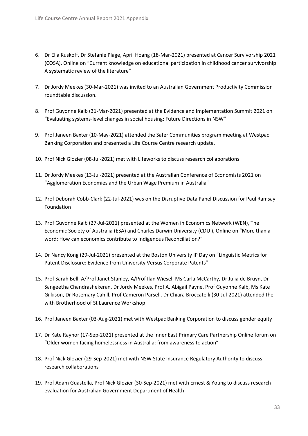- 6. Dr Ella Kuskoff, Dr Stefanie Plage, April Hoang (18-Mar-2021) presented at Cancer Survivorship 2021 (COSA), Online on "Current knowledge on educational participation in childhood cancer survivorship: A systematic review of the literature"
- 7. Dr Jordy Meekes (30-Mar-2021) was invited to an Australian Government Productivity Commission roundtable discussion.
- 8. Prof Guyonne Kalb (31-Mar-2021) presented at the Evidence and Implementation Summit 2021 on "Evaluating systems-level changes in social housing: Future Directions in NSW"
- 9. Prof Janeen Baxter (10-May-2021) attended the Safer Communities program meeting at Westpac Banking Corporation and presented a Life Course Centre research update.
- 10. Prof Nick Glozier (08-Jul-2021) met with Lifeworks to discuss research collaborations
- 11. Dr Jordy Meekes (13-Jul-2021) presented at the Australian Conference of Economists 2021 on "Agglomeration Economies and the Urban Wage Premium in Australia"
- 12. Prof Deborah Cobb-Clark (22-Jul-2021) was on the Disruptive Data Panel Discussion for Paul Ramsay Foundation
- 13. Prof Guyonne Kalb (27-Jul-2021) presented at the Women in Economics Network (WEN), The Economic Society of Australia (ESA) and Charles Darwin University (CDU ), Online on "More than a word: How can economics contribute to Indigenous Reconciliation?"
- 14. Dr Nancy Kong (29-Jul-2021) presented at the Boston University IP Day on "Linguistic Metrics for Patent Disclosure: Evidence from University Versus Corporate Patents"
- 15. Prof Sarah Bell, A/Prof Janet Stanley, A/Prof Ilan Wiesel, Ms Carla McCarthy, Dr Julia de Bruyn, Dr Sangeetha Chandrashekeran, Dr Jordy Meekes, Prof A. Abigail Payne, Prof Guyonne Kalb, Ms Kate Gilkison, Dr Rosemary Cahill, Prof Cameron Parsell, Dr Chiara Broccatelli (30-Jul-2021) attended the with Brotherhood of St Laurence Workshop
- 16. Prof Janeen Baxter (03-Aug-2021) met with Westpac Banking Corporation to discuss gender equity
- 17. Dr Kate Raynor (17-Sep-2021) presented at the Inner East Primary Care Partnership Online forum on "Older women facing homelessness in Australia: from awareness to action"
- 18. Prof Nick Glozier (29-Sep-2021) met with NSW State Insurance Regulatory Authority to discuss research collaborations
- 19. Prof Adam Guastella, Prof Nick Glozier (30-Sep-2021) met with Ernest & Young to discuss research evaluation for Australian Government Department of Health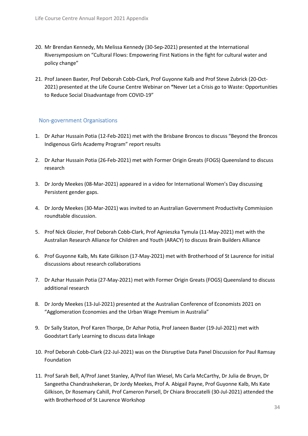- 20. Mr Brendan Kennedy, Ms Melissa Kennedy (30-Sep-2021) presented at the International Riversymposium on "Cultural Flows: Empowering First Nations in the fight for cultural water and policy change"
- 21. Prof Janeen Baxter, Prof Deborah Cobb-Clark, Prof Guyonne Kalb and Prof Steve Zubrick (20-Oct-2021) presented at the Life Course Centre Webinar on **"**Never Let a Crisis go to Waste: Opportunities to Reduce Social Disadvantage from COVID-19"

## <span id="page-33-0"></span>Non-government Organisations

- 1. Dr Azhar Hussain Potia (12-Feb-2021) met with the Brisbane Broncos to discuss "Beyond the Broncos Indigenous Girls Academy Program" report results
- 2. Dr Azhar Hussain Potia (26-Feb-2021) met with Former Origin Greats (FOGS) Queensland to discuss research
- 3. Dr Jordy Meekes (08-Mar-2021) appeared in a video for International Women's Day discussing Persistent gender gaps.
- 4. Dr Jordy Meekes (30-Mar-2021) was invited to an Australian Government Productivity Commission roundtable discussion.
- 5. Prof Nick Glozier, Prof Deborah Cobb-Clark, Prof Agnieszka Tymula (11-May-2021) met with the Australian Research Alliance for Children and Youth (ARACY) to discuss Brain Builders Alliance
- 6. Prof Guyonne Kalb, Ms Kate Gilkison (17-May-2021) met with Brotherhood of St Laurence for initial discussions about research collaborations
- 7. Dr Azhar Hussain Potia (27-May-2021) met with Former Origin Greats (FOGS) Queensland to discuss additional research
- 8. Dr Jordy Meekes (13-Jul-2021) presented at the Australian Conference of Economists 2021 on "Agglomeration Economies and the Urban Wage Premium in Australia"
- 9. Dr Sally Staton, Prof Karen Thorpe, Dr Azhar Potia, Prof Janeen Baxter (19-Jul-2021) met with Goodstart Early Learning to discuss data linkage
- 10. Prof Deborah Cobb-Clark (22-Jul-2021) was on the Disruptive Data Panel Discussion for Paul Ramsay Foundation
- 11. Prof Sarah Bell, A/Prof Janet Stanley, A/Prof Ilan Wiesel, Ms Carla McCarthy, Dr Julia de Bruyn, Dr Sangeetha Chandrashekeran, Dr Jordy Meekes, Prof A. Abigail Payne, Prof Guyonne Kalb, Ms Kate Gilkison, Dr Rosemary Cahill, Prof Cameron Parsell, Dr Chiara Broccatelli (30-Jul-2021) attended the with Brotherhood of St Laurence Workshop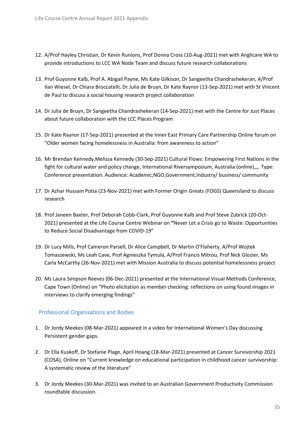- 12. A/Prof Hayley Christian, Dr Kevin Runions, Prof Donna Cross (10-Aug-2021) met with Anglicare WA to provide introductions to LCC WA Node Team and discuss future research collaborations
- 13. Prof Guyonne Kalb, Prof A. Abigail Payne, Ms Kate Gilkison, Dr Sangeetha Chandrashekeran, A/Prof Ilan Wiesel, Dr Chiara Broccatelli, Dr Julia de Bruyn, Dr Kate Raynor (13-Sep-2021) met with St Vincent de Paul to discuss a social housing research project collaboration
- 14. Dr Julia de Bruyn, Dr Sangeetha Chandrashekeran (14-Sep-2021) met with the Centre for Just Places about future collaboration with the LCC Places Program
- 15. Dr Kate Raynor (17-Sep-2021) presented at the Inner East Primary Care Partnership Online forum on "Older women facing homelessness in Australia: from awareness to action"
- 16. Mr Brendan Kennedy,Melissa Kennedy (30-Sep-2021) Cultural Flows: Empowering First Nations in the fight for cultural water and policy change, International Riversymposium, Australia (online),,,. Type: Conference presentation. Audience: Academic,NGO,Government,Industry/ business/ community
- 17. Dr Azhar Hussain Potia (23-Nov-2021) met with Former Origin Greats (FOGS) Queensland to discuss research
- 18. Prof Janeen Baxter, Prof Deborah Cobb-Clark, Prof Guyonne Kalb and Prof Steve Zubrick (20-Oct-2021) presented at the Life Course Centre Webinar on **"**Never Let a Crisis go to Waste: Opportunities to Reduce Social Disadvantage from COVID-19"
- 19. Dr Lucy Mills, Prof Cameron Parsell, Dr Alice Campbell, Dr Martin O'Flaherty, A/Prof Wojtek Tomaszewski, Ms Leah Cave, Prof Agnieszka Tymula, A/Prof Francis Mitrou, Prof Nick Glozier, Ms Carla McCarthy (26-Nov-2021) met with Mission Australia to discuss potential homelessness project
- 20. Ms Laura Simpson Reeves (06-Dec-2021) presented at the International Visual Methods Conference, Cape Town (Online) on "Photo elicitation as member checking: reflections on using found images in interviews to clarify emerging findings"

## <span id="page-34-0"></span>Professional Organisations and Bodies

- 1. Dr Jordy Meekes (08-Mar-2021) appeared in a video for International Women's Day discussing Persistent gender gaps.
- 2. Dr Ella Kuskoff, Dr Stefanie Plage, April Hoang (18-Mar-2021) presented at Cancer Survivorship 2021 (COSA), Online on "Current knowledge on educational participation in childhood cancer survivorship: A systematic review of the literature"
- 3. Dr Jordy Meekes (30-Mar-2021) was invited to an Australian Government Productivity Commission roundtable discussion.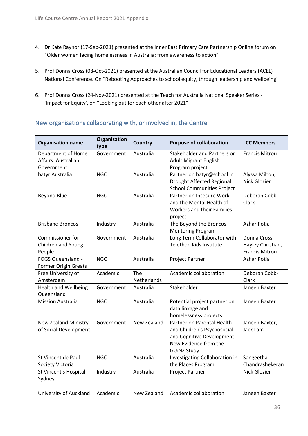- 4. Dr Kate Raynor (17-Sep-2021) presented at the Inner East Primary Care Partnership Online forum on "Older women facing homelessness in Australia: from awareness to action"
- 5. Prof Donna Cross (08-Oct-2021) presented at the Australian Council for Educational Leaders (ACEL) National Conference. On "Rebooting Approaches to school equity, through leadership and wellbeing"
- 6. Prof Donna Cross (24-Nov-2021) presented at the Teach for Australia National Speaker Series 'Impact for Equity', on "Looking out for each other after 2021"

| <b>Organisation name</b>                                | Organisation<br>type | <b>Country</b>     | <b>Purpose of collaboration</b>                                                                                                        | <b>LCC Members</b>                                         |
|---------------------------------------------------------|----------------------|--------------------|----------------------------------------------------------------------------------------------------------------------------------------|------------------------------------------------------------|
| Department of Home<br>Affairs: Australian<br>Government | Government           | Australia          | Stakeholder and Partners on<br><b>Adult Migrant English</b><br>Program project                                                         | Francis Mitrou                                             |
| batyr Australia                                         | NGO                  | Australia          | Partner on batyr@school in<br>Drought Affected Regional<br><b>School Communities Project</b>                                           | Alyssa Milton,<br>Nick Glozier                             |
| <b>Beyond Blue</b>                                      | <b>NGO</b>           | Australia          | Partner on Insecure Work<br>and the Mental Health of<br><b>Workers and their Families</b><br>project                                   | Deborah Cobb-<br>Clark                                     |
| <b>Brisbane Broncos</b>                                 | Industry             | Australia          | The Beyond the Broncos<br><b>Mentoring Program</b>                                                                                     | Azhar Potia                                                |
| Commissioner for<br>Children and Young<br>People        | Government           | Australia          | Long Term Collaborator with<br>Telethon Kids Institute                                                                                 | Donna Cross,<br>Hayley Christian,<br><b>Francis Mitrou</b> |
| FOGS Queensland -<br><b>Former Origin Greats</b>        | <b>NGO</b>           | Australia          | Project Partner                                                                                                                        | <b>Azhar Potia</b>                                         |
| Free University of<br>Amsterdam                         | Academic             | The<br>Netherlands | Academic collaboration                                                                                                                 | Deborah Cobb-<br>Clark                                     |
| <b>Health and Wellbeing</b><br>Queensland               | Government           | Australia          | Stakeholder                                                                                                                            | Janeen Baxter                                              |
| <b>Mission Australia</b>                                | <b>NGO</b>           | Australia          | Potential project partner on<br>data linkage and<br>homelessness projects                                                              | Janeen Baxter                                              |
| <b>New Zealand Ministry</b><br>of Social Development    | Government           | New Zealand        | Partner on Parental Health<br>and Children's Psychosocial<br>and Cognitive Development:<br>New Evidence from the<br><b>GUINZ Study</b> | Janeen Baxter,<br>Jack Lam                                 |
| St Vincent de Paul                                      | <b>NGO</b>           | Australia          | Investigating Collaboration in                                                                                                         | Sangeetha<br>Chandrashekeran                               |
| Society Victoria<br>St Vincent's Hospital<br>Sydney     | Industry             | Australia          | the Places Program<br>Project Partner                                                                                                  | Nick Glozier                                               |
| University of Auckland                                  | Academic             | New Zealand        | Academic collaboration                                                                                                                 | Janeen Baxter                                              |

# <span id="page-35-0"></span>New organisations collaborating with, or involved in, the Centre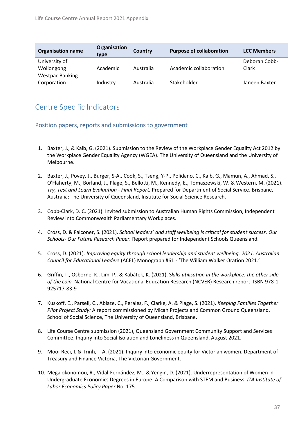| <b>Organisation name</b> | Organisation<br>type | Country   | <b>Purpose of collaboration</b> | <b>LCC Members</b> |
|--------------------------|----------------------|-----------|---------------------------------|--------------------|
| University of            |                      |           |                                 | Deborah Cobb-      |
| Wollongong               | Academic             | Australia | Academic collaboration          | Clark              |
| <b>Westpac Banking</b>   |                      |           |                                 |                    |
| Corporation              | Industry             | Australia | Stakeholder                     | Janeen Baxter      |

# <span id="page-36-0"></span>Centre Specific Indicators

# <span id="page-36-1"></span>Position papers, reports and submissions to government

- 1. Baxter, J., & Kalb, G. (2021). Submission to the Review of the Workplace Gender Equality Act 2012 by the Workplace Gender Equality Agency (WGEA). The University of Queensland and the University of Melbourne.
- 2. Baxter, J., Povey, J., Burger, S-A., Cook, S., Tseng, Y-P., Polidano, C., Kalb, G., Mamun, A., Ahmad, S., O'Flaherty, M., Borland, J., Plage, S., Bellotti, M., Kennedy, E., Tomaszewski, W. & Western, M. (2021). *Try, Test and Learn Evaluation - Final Report.* Prepared for Department of Social Service. Brisbane, Australia: The University of Queensland, Institute for Social Science Research.
- 3. Cobb-Clark, D. C. (2021). Invited submission to Australian Human Rights Commission, Independent Review into Commonwealth Parliamentary Workplaces.
- 4. Cross, D. & Falconer, S. (2021). *School leaders' and staff wellbeing is critical for student success. Our Schools- Our Future Research Paper.* Report prepared for Independent Schools Queensland.
- 5. Cross, D. (2021). *Improving equity through school leadership and student wellbeing. 2021. Australian Council for Educational Leaders* (ACEL) Monograph #61 - 'The William Walker Oration 2021.'
- 6. Griffin, T., Osborne, K., Lim, P., & Kabátek, K. (2021). S*kills utilisation in the workplace: the other side of the coin.* National Centre for Vocational Education Research (NCVER) Research report. ISBN 978-1- 925717-83-9
- 7. Kuskoff, E., Parsell, C., Ablaze, C., Perales, F., Clarke, A. & Plage, S. (2021). *Keeping Families Together Pilot Project Study:* A report commissioned by Micah Projects and Common Ground Queensland. School of Social Science, The University of Queensland, Brisbane.
- 8. Life Course Centre submission (2021), Queensland Government Community Support and Services Committee, Inquiry into Social Isolation and Loneliness in Queensland, August 2021.
- 9. Mooi-Reci, I. & Trinh, T-A. (2021). Inquiry into economic equity for Victorian women. Department of Treasury and Finance Victoria, The Victorian Government.
- 10. Megalokonomou, R., Vidal-Fernández, M., & Yengin, D. (2021). Underrepresentation of Women in Undergraduate Economics Degrees in Europe: A Comparison with STEM and Business. *IZA Institute of Labor Economics Policy Paper* No. 175.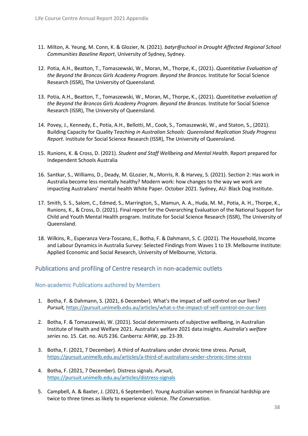- 11. Milton, A. Yeung, M. Conn, K. & Glozier, N. (2021). *batyr@school in Drought Affected Regional School Communities Baseline Report*, University of Sydney, Sydney.
- 12. Potia, A.H., Beatton, T., Tomaszewski, W., Moran, M., Thorpe, K., (2021). *Quantitative Evaluation of the Beyond the Broncos Girls Academy Program. Beyond the Broncos.* Institute for Social Science Research (ISSR), The University of Queensland.
- 13. Potia, A.H., Beatton, T., Tomaszewski, W., Moran, M., Thorpe, K., (2021). *Quantitative evaluation of the Beyond the Broncos Girls Academy Program. Beyond the Broncos*. Institute for Social Science Research (ISSR), The University of Queensland.
- 14. Povey, J., Kennedy, E., Potia, A.H., Bellotti, M., Cook, S., Tomaszewski, W., and Staton, S., (2021). Building Capacity for Quality T*eaching in Australian Schools: Queensland Replication Study Progress Report.* Institute for Social Science Research (ISSR), The University of Queensland.
- 15. Runions, K. & Cross, D. (2021). *Student and Staff Wellbeing and Mental Health.* Report prepared for Independent Schools Australia
- 16. Santkar, S., Williams, D., Deady, M. GLozier, N., Morris, R. & Harvey, S. (2021). Section 2: Has work in Australia become less mentally healthy? Modern work: how changes to the way we work are impacting Australians' mental health White Paper. October 2021. Sydney, AU: Black Dog Institute.
- 17. Smith, S. S., Salom, C., Edmed, S., Marrington, S., Mamun, A. A., Huda, M. M., Potia, A. H., Thorpe, K., Runions, K., & Cross, D. (2021). Final report for the Overarching Evaluation of the National Support for Child and Youth Mental Health program. Institute for Social Science Research (ISSR), The University of Queensland.
- 18. Wilkins, R., Esperanza Vera-Toscano, E., Botha, F. & Dahmann, S. C. (2021). The Household, Income and Labour Dynamics in Australia Survey: Selected Findings from Waves 1 to 19. Melbourne Institute: Applied Economic and Social Research, University of Melbourne, Victoria.

## <span id="page-37-0"></span>Publications and profiling of Centre research in non-academic outlets

## <span id="page-37-1"></span>Non-academic Publications authored by Members

- 1. Botha, F. & Dahmann, S. (2021, 6 December). What's the impact of self-control on our lives? *Pursuit,* <https://pursuit.unimelb.edu.au/articles/what-s-the-impact-of-self-control-on-our-lives>
- 2. Botha, F. & Tomaszewski, W. (2021). Social determinants of subjective wellbeing, in Australian Institute of Health and Welfare 2021. Australia's welfare 2021 data insights. *Australia's welfare series* no. 15. Cat. no. AUS 236. Canberra: AIHW, pp. 23-39.
- 3. Botha, F. (2021, 7 December). A third of Australians under chronic time stress. *Pursuit,*  <https://pursuit.unimelb.edu.au/articles/a-third-of-australians-under-chronic-time-stress>
- 4. Botha, F. (2021, 7 December). Distress signals. *Pursuit*, <https://pursuit.unimelb.edu.au/articles/distress-signals>
- 5. Campbell, A. & Baxter, J. (2021, 6 September). Young Australian women in financial hardship are twice to three times as likely to experience violence. *The Conversation*.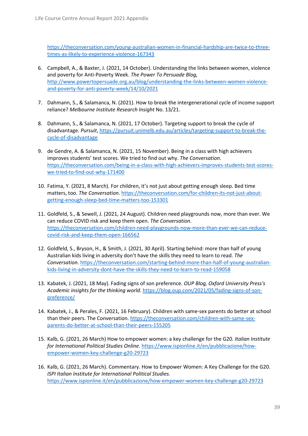[https://theconversation.com/young-australian-women-in-financial-hardship-are-twice-to-three](https://theconversation.com/young-australian-women-in-financial-hardship-are-twice-to-three-times-as-likely-to-experience-violence-167343)[times-as-likely-to-experience-violence-167343](https://theconversation.com/young-australian-women-in-financial-hardship-are-twice-to-three-times-as-likely-to-experience-violence-167343)

- 6. Campbell, A., & Baxter, J. (2021, 14 October). Understanding the links between women, violence and poverty for Anti-Poverty Week. *The Power To Persuade Blog,* [http://www.powertopersuade.org.au/blog/understanding-the-links-between-women-violence](http://www.powertopersuade.org.au/blog/understanding-the-links-between-women-violence-and-poverty-for-anti-poverty-week/14/10/2021)[and-poverty-for-anti-poverty-week/14/10/2021](http://www.powertopersuade.org.au/blog/understanding-the-links-between-women-violence-and-poverty-for-anti-poverty-week/14/10/2021)
- 7. Dahmann, S., & Salamanca, N. (2021). How to break the intergenerational cycle of income support reliance? *Melbourne Institute Research Insight* No. 13/21.
- 8. Dahmann, S., & Salamanca, N. (2021, 17 October). Targeting support to break the cycle of disadvantage. *Pursuit*[, https://pursuit.unimelb.edu.au/articles/targeting-support-to-break-the](https://pursuit.unimelb.edu.au/articles/targeting-support-to-break-the-cycle-of-disadvantage)[cycle-of-disadvantage](https://pursuit.unimelb.edu.au/articles/targeting-support-to-break-the-cycle-of-disadvantage)
- 9. de Gendre, A. & Salamanca, N. (2021, 15 November). Being in a class with high achievers improves students' test scores. We tried to find out why. *The Conversation*. [https://theconversation.com/being-in-a-class-with-high-achievers-improves-students-test-scores](https://theconversation.com/being-in-a-class-with-high-achievers-improves-students-test-scores-we-tried-to-find-out-why-171400)[we-tried-to-find-out-why-171400](https://theconversation.com/being-in-a-class-with-high-achievers-improves-students-test-scores-we-tried-to-find-out-why-171400)
- 10. Fatima, Y. (2021, 8 March). For children, it's not just about getting enough sleep. Bed time matters, too. *The Conversation*[. https://theconversation.com/for-children-its-not-just-about](https://theconversation.com/for-children-its-not-just-about-getting-enough-sleep-bed-time-matters-too-153301)[getting-enough-sleep-bed-time-matters-too-153301](https://theconversation.com/for-children-its-not-just-about-getting-enough-sleep-bed-time-matters-too-153301)
- 11. Goldfeld, S., & Sewell, J. (2021, 24 August). Children need playgrounds now, more than ever. We can reduce COVID risk and keep them open. *The Conversation*. [https://theconversation.com/children-need-playgrounds-now-more-than-ever-we-can-reduce](https://theconversation.com/children-need-playgrounds-now-more-than-ever-we-can-reduce-covid-risk-and-keep-them-open-166562)[covid-risk-and-keep-them-open-166562](https://theconversation.com/children-need-playgrounds-now-more-than-ever-we-can-reduce-covid-risk-and-keep-them-open-166562)
- 12. Goldfeld, S., Bryson, H., & Smith, J. (2021, 30 April). Starting behind: more than half of young Australian kids living in adversity don't have the skills they need to learn to read. *The Conversation*. [https://theconversation.com/starting-behind-more-than-half-of-young-australian](https://theconversation.com/starting-behind-more-than-half-of-young-australian-kids-living-in-adversity-dont-have-the-skills-they-need-to-learn-to-read-159058)[kids-living-in-adversity-dont-have-the-skills-they-need-to-learn-to-read-159058](https://theconversation.com/starting-behind-more-than-half-of-young-australian-kids-living-in-adversity-dont-have-the-skills-they-need-to-learn-to-read-159058)
- 13. Kabatek, J. (2021, 18 May). Fading signs of son preference. *OUP Blog, Oxford University Press's*  Academic insights for the thinking world. [https://blog.oup.com/2021/05/fading-signs-of-son](https://blog.oup.com/2021/05/fading-signs-of-son-preference/)[preference/](https://blog.oup.com/2021/05/fading-signs-of-son-preference/)
- 14. Kabatek, J., & Perales, F. (2021, 16 February). Children with same-sex parents do better at school than their peers. The Conversation. [https://theconversation.com/children-with-same-sex](https://theconversation.com/children-with-same-sex-parents-do-better-at-school-than-their-peers-155205)[parents-do-better-at-school-than-their-peers-155205](https://theconversation.com/children-with-same-sex-parents-do-better-at-school-than-their-peers-155205)
- 15. Kalb, G. (2021, 26 March) How to empower women: a key challenge for the G20. *Italian Institute for International Political Studies Online*. [https://www.ispionline.it/en/pubblicazione/how](https://www.ispionline.it/en/pubblicazione/how-empower-women-key-challenge-g20-29723)[empower-women-key-challenge-g20-29723](https://www.ispionline.it/en/pubblicazione/how-empower-women-key-challenge-g20-29723)
- 16. Kalb, G. (2021, 26 March). Commentary. How to Empower Women: A Key Challenge for the G20. *ISPI Italian Institute for International Political Studies.* <https://www.ispionline.it/en/pubblicazione/how-empower-women-key-challenge-g20-29723>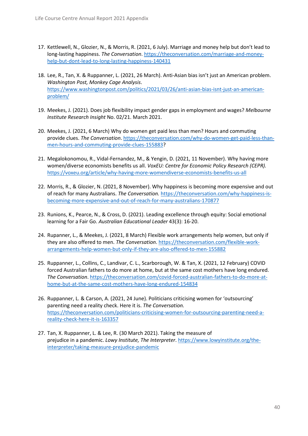- 17. Kettlewell, N., Glozier, N., & Morris, R. (2021, 6 July). Marriage and money help but don't lead to long-lasting happiness. *The Conversation*[. https://theconversation.com/marriage-and-money](https://theconversation.com/marriage-and-money-help-but-dont-lead-to-long-lasting-happiness-140431)[help-but-dont-lead-to-long-lasting-happiness-140431](https://theconversation.com/marriage-and-money-help-but-dont-lead-to-long-lasting-happiness-140431)
- 18. Lee, R., Tan, X. & Ruppanner, L. (2021, 26 March). Anti-Asian bias isn't just an American problem. *Washington Post, Monkey Cage Analysis*. [https://www.washingtonpost.com/politics/2021/03/26/anti-asian-bias-isnt-just-an-american](https://www.washingtonpost.com/politics/2021/03/26/anti-asian-bias-isnt-just-an-american-problem/)[problem/](https://www.washingtonpost.com/politics/2021/03/26/anti-asian-bias-isnt-just-an-american-problem/)
- 19. Meekes, J. (2021). Does job flexibility impact gender gaps in employment and wages? *Melbourne Institute Research Insight* No. 02/21. March 2021.
- 20. Meekes, J. (2021, 6 March) Why do women get paid less than men? Hours and commuting provide clues. *The Conversation*[. https://theconversation.com/why-do-women-get-paid-less-than](https://theconversation.com/why-do-women-get-paid-less-than-men-hours-and-commuting-provide-clues-155883)[men-hours-and-commuting-provide-clues-155883?](https://theconversation.com/why-do-women-get-paid-less-than-men-hours-and-commuting-provide-clues-155883)
- 21. Megalokonomou, R., Vidal-Fernandez, M., & Yengin, D. (2021, 11 November). Why having more women/diverse economists benefits us all. *VoxEU: Centre for Economic Policy Research (CEPR).*  <https://voxeu.org/article/why-having-more-womendiverse-economists-benefits-us-all>
- 22. Morris, R., & Glozier, N. (2021, 8 November). Why happiness is becoming more expensive and out of reach for many Australians. *The Conversation.* [https://theconversation.com/why-happiness-is](https://theconversation.com/why-happiness-is-becoming-more-expensive-and-out-of-reach-for-many-australians-170877)[becoming-more-expensive-and-out-of-reach-for-many-australians-170877](https://theconversation.com/why-happiness-is-becoming-more-expensive-and-out-of-reach-for-many-australians-170877)
- 23. Runions, K., Pearce, N., & Cross, D. (2021). Leading excellence through equity: Social emotional learning for a Fair Go. *Australian Educational Leader* 43(3): 16-20.
- 24. Rupanner, L., & Meekes, J. (2021, 8 March) Flexible work arrangements help women, but only if they are also offered to men. *The Conversation*[. https://theconversation.com/flexible-work](https://theconversation.com/flexible-work-arrangements-help-women-but-only-if-they-are-also-offered-to-men-155882)[arrangements-help-women-but-only-if-they-are-also-offered-to-men-155882](https://theconversation.com/flexible-work-arrangements-help-women-but-only-if-they-are-also-offered-to-men-155882)
- 25. Ruppanner, L., Collins, C., Landivar, C. L., Scarborough, W. & Tan, X. (2021, 12 February) COVID forced Australian fathers to do more at home, but at the same cost mothers have long endured. *The Conversation*. [https://theconversation.com/covid-forced-australian-fathers-to-do-more-at](https://theconversation.com/covid-forced-australian-fathers-to-do-more-at-home-but-at-the-same-cost-mothers-have-long-endured-154834)[home-but-at-the-same-cost-mothers-have-long-endured-154834](https://theconversation.com/covid-forced-australian-fathers-to-do-more-at-home-but-at-the-same-cost-mothers-have-long-endured-154834)
- 26. Ruppanner, L. & Carson, A. (2021, 24 June). Politicians criticising women for 'outsourcing' parenting need a reality check. Here it is. *The Conversation.* [https://theconversation.com/politicians-criticising-women-for-outsourcing-parenting-need-a](https://theconversation.com/politicians-criticising-women-for-outsourcing-parenting-need-a-reality-check-here-it-is-163357)[reality-check-here-it-is-163357](https://theconversation.com/politicians-criticising-women-for-outsourcing-parenting-need-a-reality-check-here-it-is-163357)
- 27. Tan, X. Ruppanner, L. & Lee, R. (30 March 2021). Taking the measure of prejudice in a pandemic. *Lowy Institute, The Interpreter*. [https://www.lowyinstitute.org/the](https://www.lowyinstitute.org/the-interpreter/taking-measure-prejudice-pandemic)[interpreter/taking-measure-prejudice-pandemic](https://www.lowyinstitute.org/the-interpreter/taking-measure-prejudice-pandemic)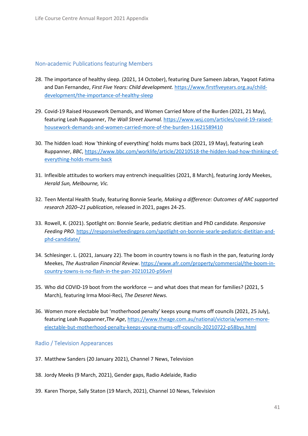## <span id="page-40-0"></span>Non-academic Publications featuring Members

- 28. The importance of healthy sleep. (2021, 14 October), featuring Dure Sameen Jabran, Yaqoot Fatima and Dan Fernandez, *First Five Years: Child development.* [https://www.firstfiveyears.org.au/child](https://www.firstfiveyears.org.au/child-development/the-importance-of-healthy-sleep)[development/the-importance-of-healthy-sleep](https://www.firstfiveyears.org.au/child-development/the-importance-of-healthy-sleep)
- 29. Covid-19 Raised Housework Demands, and Women Carried More of the Burden (2021, 21 May), featuring Leah Ruppanner, *The Wall Street Journal.* [https://www.wsj.com/articles/covid-19-raised](https://www.wsj.com/articles/covid-19-raised-housework-demands-and-women-carried-more-of-the-burden-11621589410)[housework-demands-and-women-carried-more-of-the-burden-11621589410](https://www.wsj.com/articles/covid-19-raised-housework-demands-and-women-carried-more-of-the-burden-11621589410)
- 30. The hidden load: How 'thinking of everything' holds mums back (2021, 19 May), featuring Leah Ruppanner, *BBC*[, https://www.bbc.com/worklife/article/20210518-the-hidden-load-how-thinking-of](https://www.bbc.com/worklife/article/20210518-the-hidden-load-how-thinking-of-everything-holds-mums-back)[everything-holds-mums-back](https://www.bbc.com/worklife/article/20210518-the-hidden-load-how-thinking-of-everything-holds-mums-back)
- 31. Inflexible attitudes to workers may entrench inequalities (2021, 8 March), featuring Jordy Meekes, *Herald Sun, Melbourne, Vic.*
- 32. Teen Mental Health Study, featuring Bonnie Searle*, Making a difference: Outcomes of ARC supported research 2020–21 publication*, released in 2021, pages 24-25.
- 33. Rowell, K. (2021). Spotlight on: Bonnie Searle, pediatric dietitian and PhD candidate. *Responsive Feeding PRO.* [https://responsivefeedingpro.com/spotlight-on-bonnie-searle-pediatric-dietitian-and](https://responsivefeedingpro.com/spotlight-on-bonnie-searle-pediatric-dietitian-and-phd-candidate/)[phd-candidate/](https://responsivefeedingpro.com/spotlight-on-bonnie-searle-pediatric-dietitian-and-phd-candidate/)
- 34. Schlesinger. L. (2021, January 22). The boom in country towns is no flash in the pan, featuring Jordy Meekes, *The Australian Financial Review*. [https://www.afr.com/property/commercial/the-boom-in](https://www.afr.com/property/commercial/the-boom-in-country-towns-is-no-flash-in-the-pan-20210120-p56vnl)[country-towns-is-no-flash-in-the-pan-20210120-p56vnl](https://www.afr.com/property/commercial/the-boom-in-country-towns-is-no-flash-in-the-pan-20210120-p56vnl)
- 35. Who did COVID-19 boot from the workforce and what does that mean for families? (2021, 5 March), featuring Irma Mooi-Reci*, The Deseret News.*
- 36. Women more electable but 'motherhood penalty' keeps young mums off councils (2021, 25 July), featuring Leah Ruppanner,*The Age*[, https://www.theage.com.au/national/victoria/women-more](https://www.theage.com.au/national/victoria/women-more-electable-but-motherhood-penalty-keeps-young-mums-off-councils-20210722-p58bys.html)[electable-but-motherhood-penalty-keeps-young-mums-off-councils-20210722-p58bys.html](https://www.theage.com.au/national/victoria/women-more-electable-but-motherhood-penalty-keeps-young-mums-off-councils-20210722-p58bys.html)

## <span id="page-40-1"></span>Radio / Television Appearances

- 37. Matthew Sanders (20 January 2021), Channel 7 News, Television
- 38. Jordy Meeks (9 March, 2021), Gender gaps, Radio Adelaide, Radio
- 39. Karen Thorpe, Sally Staton (19 March, 2021), Channel 10 News, Television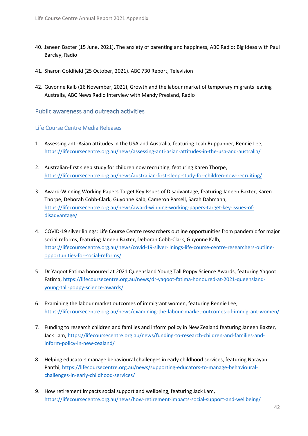- 40. Janeen Baxter (15 June, 2021), The anxiety of parenting and happiness, ABC Radio: Big Ideas with Paul Barclay, Radio
- 41. Sharon Goldfield (25 October, 2021). ABC 730 Report, Television
- 42. Guyonne Kalb (16 November, 2021), Growth and the labour market of temporary migrants leaving Australia, ABC News Radio Interview with Mandy Presland, Radio

## <span id="page-41-0"></span>Public awareness and outreach activities

## <span id="page-41-1"></span>Life Course Centre Media Releases

- 1. Assessing anti-Asian attitudes in the USA and Australia, featuring Leah Ruppanner, Rennie Lee, <https://lifecoursecentre.org.au/news/assessing-anti-asian-attitudes-in-the-usa-and-australia/>
- 2. Australian-first sleep study for children now recruiting, featuring Karen Thorpe, <https://lifecoursecentre.org.au/news/australian-first-sleep-study-for-children-now-recruiting/>
- 3. Award-Winning Working Papers Target Key Issues of Disadvantage, featuring Janeen Baxter, Karen Thorpe, Deborah Cobb-Clark, Guyonne Kalb, Cameron Parsell, Sarah Dahmann, [https://lifecoursecentre.org.au/news/award-winning-working-papers-target-key-issues-of](https://lifecoursecentre.org.au/news/award-winning-working-papers-target-key-issues-of-disadvantage/)[disadvantage/](https://lifecoursecentre.org.au/news/award-winning-working-papers-target-key-issues-of-disadvantage/)
- 4. COVID-19 silver linings: Life Course Centre researchers outline opportunities from pandemic for major social reforms, featuring Janeen Baxter, Deborah Cobb-Clark, Guyonne Kalb, [https://lifecoursecentre.org.au/news/covid-19-silver-linings-life-course-centre-researchers-outline](https://lifecoursecentre.org.au/news/covid-19-silver-linings-life-course-centre-researchers-outline-opportunities-for-social-reforms/)[opportunities-for-social-reforms/](https://lifecoursecentre.org.au/news/covid-19-silver-linings-life-course-centre-researchers-outline-opportunities-for-social-reforms/)
- 5. Dr Yaqoot Fatima honoured at 2021 Queensland Young Tall Poppy Science Awards, featuring Yaqoot Fatima, [https://lifecoursecentre.org.au/news/dr-yaqoot-fatima-honoured-at-2021-queensland](https://lifecoursecentre.org.au/news/dr-yaqoot-fatima-honoured-at-2021-queensland-young-tall-poppy-science-awards/)[young-tall-poppy-science-awards/](https://lifecoursecentre.org.au/news/dr-yaqoot-fatima-honoured-at-2021-queensland-young-tall-poppy-science-awards/)
- 6. Examining the labour market outcomes of immigrant women, featuring Rennie Lee, <https://lifecoursecentre.org.au/news/examining-the-labour-market-outcomes-of-immigrant-women/>
- 7. Funding to research children and families and inform policy in New Zealand featuring Janeen Baxter, Jack Lam, [https://lifecoursecentre.org.au/news/funding-to-research-children-and-families-and](https://lifecoursecentre.org.au/news/funding-to-research-children-and-families-and-inform-policy-in-new-zealand/)[inform-policy-in-new-zealand/](https://lifecoursecentre.org.au/news/funding-to-research-children-and-families-and-inform-policy-in-new-zealand/)
- 8. Helping educators manage behavioural challenges in early childhood services, featuring Narayan Panthi, [https://lifecoursecentre.org.au/news/supporting-educators-to-manage-behavioural](https://lifecoursecentre.org.au/news/supporting-educators-to-manage-behavioural-challenges-in-early-childhood-services/)[challenges-in-early-childhood-services/](https://lifecoursecentre.org.au/news/supporting-educators-to-manage-behavioural-challenges-in-early-childhood-services/)
- 9. How retirement impacts social support and wellbeing, featuring Jack Lam, <https://lifecoursecentre.org.au/news/how-retirement-impacts-social-support-and-wellbeing/>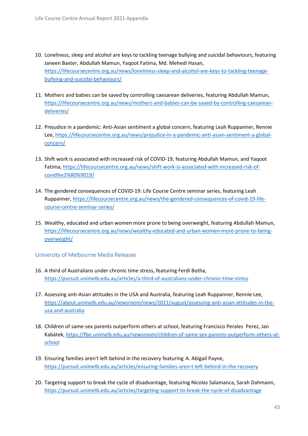- 10. Loneliness, sleep and alcohol are keys to tackling teenage bullying and suicidal behaviours, featuring Janeen Baxter, Abdullah Mamun, Yaqoot Fatima, Md. Mehedi Hasan, [https://lifecoursecentre.org.au/news/loneliness-sleep-and-alcohol-are-keys-to-tackling-teenage](https://lifecoursecentre.org.au/news/loneliness-sleep-and-alcohol-are-keys-to-tackling-teenage-bullying-and-suicidal-behaviours/)[bullying-and-suicidal-behaviours/](https://lifecoursecentre.org.au/news/loneliness-sleep-and-alcohol-are-keys-to-tackling-teenage-bullying-and-suicidal-behaviours/)
- 11. Mothers and babies can be saved by controlling caesarean deliveries, featuring Abdullah Mamun, [https://lifecoursecentre.org.au/news/mothers-and-babies-can-be-saved-by-controlling-caesarean](https://lifecoursecentre.org.au/news/mothers-and-babies-can-be-saved-by-controlling-caesarean-deliveries/)[deliveries/](https://lifecoursecentre.org.au/news/mothers-and-babies-can-be-saved-by-controlling-caesarean-deliveries/)
- 12. Prejudice in a pandemic: Anti-Asian sentiment a global concern, featuring Leah Ruppanner, Rennie Lee, [https://lifecoursecentre.org.au/news/prejudice-in-a-pandemic-anti-asian-sentiment-a-global](https://lifecoursecentre.org.au/news/prejudice-in-a-pandemic-anti-asian-sentiment-a-global-concern/)[concern/](https://lifecoursecentre.org.au/news/prejudice-in-a-pandemic-anti-asian-sentiment-a-global-concern/)
- 13. Shift work is associated with increased risk of COVID-19, featuring Abdullah Mamun, and Yaqoot Fatima, [https://lifecoursecentre.org.au/news/shift-work-is-associated-with-increased-risk-of](https://lifecoursecentre.org.au/news/shift-work-is-associated-with-increased-risk-of-covid%e2%80%9019/)[covid%e2%80%9019/](https://lifecoursecentre.org.au/news/shift-work-is-associated-with-increased-risk-of-covid%e2%80%9019/)
- 14. The gendered consequences of COVID-19: Life Course Centre seminar series, featuring Leah Ruppanner[, https://lifecoursecentre.org.au/news/the-gendered-consequences-of-covid-19-life](https://lifecoursecentre.org.au/news/the-gendered-consequences-of-covid-19-life-course-centre-seminar-series/)[course-centre-seminar-series/](https://lifecoursecentre.org.au/news/the-gendered-consequences-of-covid-19-life-course-centre-seminar-series/)
- 15. Wealthy, educated and urban women more prone to being overweight, featuring Abdullah Mamun, [https://lifecoursecentre.org.au/news/wealthy-educated-and-urban-women-more-prone-to-being](https://lifecoursecentre.org.au/news/wealthy-educated-and-urban-women-more-prone-to-being-overweight/)[overweight/](https://lifecoursecentre.org.au/news/wealthy-educated-and-urban-women-more-prone-to-being-overweight/)

<span id="page-42-0"></span>University of Melbourne Media Releases

- 16. A third of Australians under chronic time stress, featuring Ferdi Botha, <https://pursuit.unimelb.edu.au/articles/a-third-of-australians-under-chronic-time-stress>
- 17. Assessing anti-Asian attitudes in the USA and Australia, featuring Leah Ruppanner, Rennie Lee, [https://about.unimelb.edu.au/newsroom/news/2021/august/assessing-anti-asian-attitudes-in-the](https://about.unimelb.edu.au/newsroom/news/2021/august/assessing-anti-asian-attitudes-in-the-usa-and-australia)[usa-and-australia](https://about.unimelb.edu.au/newsroom/news/2021/august/assessing-anti-asian-attitudes-in-the-usa-and-australia)
- 18. Children of same-sex parents outperform others at school, featuring Francisco Perales Perez, Jan Kabátek[, https://fbe.unimelb.edu.au/newsroom/children-of-same-sex-parents-outperform-others-at](https://fbe.unimelb.edu.au/newsroom/children-of-same-sex-parents-outperform-others-at-school)[school](https://fbe.unimelb.edu.au/newsroom/children-of-same-sex-parents-outperform-others-at-school)
- 19. Ensuring families aren't left behind in the recovery featuring A. Abigail Payne, <https://pursuit.unimelb.edu.au/articles/ensuring-families-aren-t-left-behind-in-the-recovery>
- 20. Targeting support to break the cycle of disadvantage, featuring Nicolas Salamanca, Sarah Dahmann, <https://pursuit.unimelb.edu.au/articles/targeting-support-to-break-the-cycle-of-disadvantage>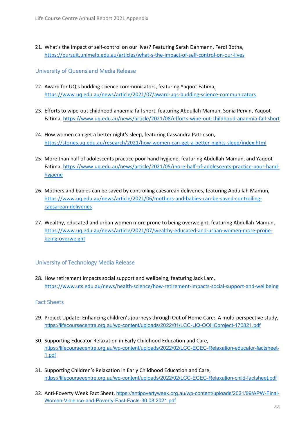21. What's the impact of self-control on our lives? Featuring Sarah Dahmann, Ferdi Botha, <https://pursuit.unimelb.edu.au/articles/what-s-the-impact-of-self-control-on-our-lives>

<span id="page-43-0"></span>University of Queensland Media Release

- 22. Award for UQ's budding science communicators, featuring Yaqoot Fatima, <https://www.uq.edu.au/news/article/2021/07/award-uqs-budding-science-communicators>
- 23. Efforts to wipe-out childhood anaemia fall short, featuring Abdullah Mamun, Sonia Pervin, Yaqoot Fatima,<https://www.uq.edu.au/news/article/2021/08/efforts-wipe-out-childhood-anaemia-fall-short>
- 24. How women can get a better night's sleep, featuring Cassandra Pattinson, <https://stories.uq.edu.au/research/2021/how-women-can-get-a-better-nights-sleep/index.html>
- 25. More than half of adolescents practice poor hand hygiene, featuring Abdullah Mamun, and Yaqoot Fatima, [https://www.uq.edu.au/news/article/2021/05/more-half-of-adolescents-practice-poor-hand](https://www.uq.edu.au/news/article/2021/05/more-half-of-adolescents-practice-poor-hand-hygiene)[hygiene](https://www.uq.edu.au/news/article/2021/05/more-half-of-adolescents-practice-poor-hand-hygiene)
- 26. Mothers and babies can be saved by controlling caesarean deliveries, featuring Abdullah Mamun, [https://www.uq.edu.au/news/article/2021/06/mothers-and-babies-can-be-saved-controlling](https://www.uq.edu.au/news/article/2021/06/mothers-and-babies-can-be-saved-controlling-caesarean-deliveries)[caesarean-deliveries](https://www.uq.edu.au/news/article/2021/06/mothers-and-babies-can-be-saved-controlling-caesarean-deliveries)
- 27. Wealthy, educated and urban women more prone to being overweight, featuring Abdullah Mamun, [https://www.uq.edu.au/news/article/2021/07/wealthy-educated-and-urban-women-more-prone](https://www.uq.edu.au/news/article/2021/07/wealthy-educated-and-urban-women-more-prone-being-overweight)[being-overweight](https://www.uq.edu.au/news/article/2021/07/wealthy-educated-and-urban-women-more-prone-being-overweight)

## <span id="page-43-1"></span>University of Technology Media Release

28. How retirement impacts social support and wellbeing, featuring Jack Lam, <https://www.uts.edu.au/news/health-science/how-retirement-impacts-social-support-and-wellbeing>

## <span id="page-43-2"></span>Fact Sheets

- 29. Project Update: Enhancing children's journeys through Out of Home Care: A multi-perspective study, <https://lifecoursecentre.org.au/wp-content/uploads/2022/01/LCC-UQ-OOHCproject-170821.pdf>
- 30. Supporting Educator Relaxation in Early Childhood Education and Care, [https://lifecoursecentre.org.au/wp-content/uploads/2022/02/LCC-ECEC-Relaxation-educator-factsheet-](https://lifecoursecentre.org.au/wp-content/uploads/2022/02/LCC-ECEC-Relaxation-educator-factsheet-1.pdf)[1.pdf](https://lifecoursecentre.org.au/wp-content/uploads/2022/02/LCC-ECEC-Relaxation-educator-factsheet-1.pdf)
- 31. Supporting Children's Relaxation in Early Childhood Education and Care, <https://lifecoursecentre.org.au/wp-content/uploads/2022/02/LCC-ECEC-Relaxation-child-factsheet.pdf>
- 32. Anti-Poverty Week Fact Sheet, [https://antipovertyweek.org.au/wp-content/uploads/2021/09/APW-Final-](https://antipovertyweek.org.au/wp-content/uploads/2021/09/APW-Final-Women-Violence-and-Poverty-Fast-Facts-30.08.2021.pdf)[Women-Violence-and-Poverty-Fast-Facts-30.08.2021.pdf](https://antipovertyweek.org.au/wp-content/uploads/2021/09/APW-Final-Women-Violence-and-Poverty-Fast-Facts-30.08.2021.pdf)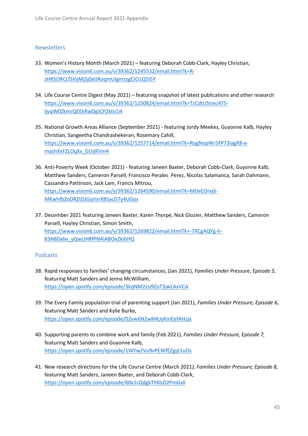## <span id="page-44-0"></span>**Newsletters**

- 33. Women's History Month (March 2021) featuring Deborah Cobb-Clark, Hayley Christian, [https://www.vision6.com.au/v/39362/1245532/email.html?k=R](https://www.vision6.com.au/v/39362/1245532/email.html?k=R-zHR5DRCLfSVyMjSj0elJRoqmUignrzsgCiO1Q5I5Y)[zHR5DRCLfSVyMjSj0elJRoqmUignrzsgCiO1Q5I5Y](https://www.vision6.com.au/v/39362/1245532/email.html?k=R-zHR5DRCLfSVyMjSj0elJRoqmUignrzsgCiO1Q5I5Y)
- 34. Life Course Centre Digest (May 2021) featuring snapshot of latest publications and other research [https://www.vision6.com.au/v/39362/1250824/email.html?k=TzCdtU5trez4T5](https://www.vision6.com.au/v/39362/1250824/email.html?k=TzCdtU5trez4T5-ljvqW0ZkmrQEEkRwDgJCP2ktv1i4) [ljvqW0ZkmrQEEkRwDgJCP2ktv1i4](https://www.vision6.com.au/v/39362/1250824/email.html?k=TzCdtU5trez4T5-ljvqW0ZkmrQEEkRwDgJCP2ktv1i4)
- 35. National Growth Areas Alliance (September 2021) featuring Jordy Meekes, Guyonne Kalb, Hayley Christian, Sangeetha Chandrashekeran, Rosemary Cahill, [https://www.vision6.com.au/v/39362/1257714/email.html?k=RogNopWr5FP73iagR8-e](https://www.vision6.com.au/v/39362/1257714/email.html?k=RogNopWr5FP73iagR8-e-mashXxFZLOqXv_GUijRVm4)[mashXxFZLOqXv\\_GUijRVm4](https://www.vision6.com.au/v/39362/1257714/email.html?k=RogNopWr5FP73iagR8-e-mashXxFZLOqXv_GUijRVm4)
- 36. Anti-Poverty Week (October 2021) featuring Janeen Baxter, Deborah Cobb-Clark, Guyonne Kalb, Matthew Sanders, Cameron Parsell, Francisco Perales Perez, Nicolas Salamanca, Sarah Dahmann, Cassandra Pattinson, Jack Lam, Francis Mitrou, [https://www.vision6.com.au/v/39362/1264590/email.html?k=MtIeEOrxdi-](https://www.vision6.com.au/v/39362/1264590/email.html?k=MtIeEOrxdi-MKwhfbZoDRZtDJGqVsrXBSacD7y4UGos)[MKwhfbZoDRZtDJGqVsrXBSacD7y4UGos](https://www.vision6.com.au/v/39362/1264590/email.html?k=MtIeEOrxdi-MKwhfbZoDRZtDJGqVsrXBSacD7y4UGos)
- 37. December 2021 featuring Janeen Baxter, Karen Thorpe, Nick Glozier, Matthew Sanders, Cameron Parsell, Hayley Christian, Simon Smith, [https://www.vision6.com.au/v/39362/1269822/email.html?k=-7XCgAQYg-lr-](https://www.vision6.com.au/v/39362/1269822/email.html?k=-7XCgAQYg-lr-83N80a6e_yQwUH8fPNAlABOeZkihHQ)[83N80a6e\\_yQwUH8fPNAlABOeZkihHQ](https://www.vision6.com.au/v/39362/1269822/email.html?k=-7XCgAQYg-lr-83N80a6e_yQwUH8fPNAlABOeZkihHQ)

## <span id="page-44-1"></span>Podcasts

- 38. Rapid responses to families' changing circumstances, (Jan 2021), *Families Under Pressure, Episode 5,*  featuring Matt Sanders and Jenna McWilliam, <https://open.spotify.com/episode/3kqNM2zsi9ZoT3jwLAxVCA>
- 39. The Every Family population trial of parenting support (Jan 2021), *Families Under Pressure, Episode 6*, featuring Matt Sanders and Kylie Burke, <https://open.spotify.com/episode/02vw6N2wMKJyKmEefAHzja>
- 40. Supporting parents to combine work and family (Feb 2021), *Families Under Pressure, Episode 7,* featuring Matt Sanders and Guyonne Kalb, <https://open.spotify.com/episode/1WYw2Vu9vPEWfEZgqI1uOs>
- 41. New research directions for the Life Course Centre (March 2021*), Families Under Pressure, Episode 8,* featuring Matt Sanders, Janeen Baxter, and Deborah Cobb-Clark, <https://open.spotify.com/episode/60x1cQdgkTY6lsD2PmGxll>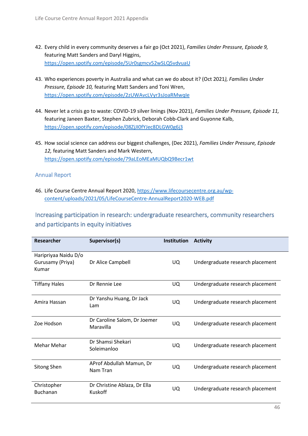- 42. Every child in every community deserves a fair go (Oct 2021), *Families Under Pressure, Episode 9,* featuring Matt Sanders and Daryl Higgins, <https://open.spotify.com/episode/5Ur0sgmcv52wSLQ5vdvuaU>
- 43. Who experiences poverty in Australia and what can we do about it? (Oct 2021*), Families Under Pressure, Episode 10,* featuring Matt Sanders and Toni Wren, <https://open.spotify.com/episode/2zUWAvcLVyr3sJoaRMwqIe>
- 44. Never let a crisis go to waste: COVID-19 silver linings (Nov 2021), *Families Under Pressure, Episode 11,* featuring Janeen Baxter, Stephen Zubrick, Deborah Cobb-Clark and Guyonne Kalb, <https://open.spotify.com/episode/08ZjJI0fYJec8DLGW0g6j3>
- 45. How social science can address our biggest challenges, (Dec 2021), *Families Under Pressure, Episode 12,* featuring Matt Sanders and Mark Western, <https://open.spotify.com/episode/79aLEoMEaMUQbQ9Becr1wt>

# <span id="page-45-0"></span>Annual Report

46. Life Course Centre Annual Report 2020, [https://www.lifecoursecentre.org.au/wp](https://www.lifecoursecentre.org.au/wp-content/uploads/2021/05/LifeCourseCentre-AnnualReport2020-WEB.pdf)[content/uploads/2021/05/LifeCourseCentre-AnnualReport2020-WEB.pdf](https://www.lifecoursecentre.org.au/wp-content/uploads/2021/05/LifeCourseCentre-AnnualReport2020-WEB.pdf) 

<span id="page-45-1"></span>Increasing participation in research: undergraduate researchers, community researchers and participants in equity initiatives

| Researcher                                        | Supervisor(s)                             | <b>Institution</b> | <b>Activity</b>                  |
|---------------------------------------------------|-------------------------------------------|--------------------|----------------------------------|
| Haripriyaa Naidu D/o<br>Gurusamy (Priya)<br>Kumar | Dr Alice Campbell                         | UQ.                | Undergraduate research placement |
| <b>Tiffany Hales</b>                              | Dr Rennie Lee                             | UQ.                | Undergraduate research placement |
| Amira Hassan                                      | Dr Yanshu Huang, Dr Jack<br>Lam           | UQ.                | Undergraduate research placement |
| Zoe Hodson                                        | Dr Caroline Salom, Dr Joemer<br>Maravilla | UQ.                | Undergraduate research placement |
| Mehar Mehar                                       | Dr Shamsi Shekari<br>Soleimanloo          | UQ.                | Undergraduate research placement |
| <b>Sitong Shen</b>                                | AProf Abdullah Mamun, Dr<br>Nam Tran      | UQ.                | Undergraduate research placement |
| Christopher<br><b>Buchanan</b>                    | Dr Christine Ablaza, Dr Ella<br>Kuskoff   | UQ.                | Undergraduate research placement |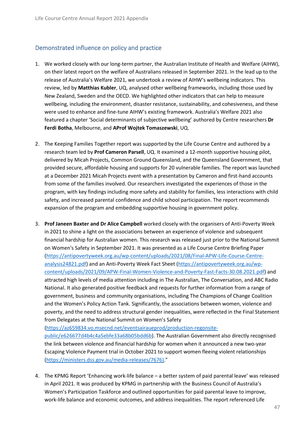## <span id="page-46-0"></span>Demonstrated influence on policy and practice

- 1. We worked closely with our long-term partner, the Australian Institute of Health and Welfare (AIHW), on their latest report on the welfare of Australians released in September 2021. In the lead up to the release of Australia's Welfare 2021, we undertook a review of AIHW's wellbeing indicators. This review, led by **Matthias Kubler**, UQ, analysed other wellbeing frameworks, including those used by New Zealand, Sweden and the OECD. We highlighted other indicators that can help to measure wellbeing, including the environment, disaster resistance, sustainability, and cohesiveness, and these were used to enhance and fine-tune AIHW's existing framework. Australia's Welfare 2021 also featured a chapter 'Social determinants of subjective wellbeing' authored by Centre researchers **Dr Ferdi Botha**, Melbourne, and **AProf Wojtek Tomaszewski**, UQ.
- 2. The Keeping Families Together report was supported by the Life Course Centre and authored by a research team led by **Prof Cameron Parsell**, UQ. It examined a 12-month supportive housing pilot, delivered by Micah Projects, Common Ground Queensland, and the Queensland Government, that provided secure, affordable housing and supports for 20 vulnerable families. The report was launched at a December 2021 Micah Projects event with a presentation by Cameron and first-hand accounts from some of the families involved. Our researchers investigated the experiences of those in the program, with key findings including more safety and stability for families, less interactions with child safety, and increased parental confidence and child school participation. The report recommends expansion of the program and embedding supportive housing in government policy.
- 3. **Prof Janeen Baxter and Dr Alice Campbell** worked closely with the organisers of Anti-Poverty Week in 2021 to shine a light on the associations between an experience of violence and subsequent financial hardship for Australian women. This research was released just prior to the National Summit on Women's Safety in September 2021. It was presented as a Life Course Centre Briefing Paper [\(https://antipovertyweek.org.au/wp-content/uploads/2021/08/Final-APW-Life-Course-Centre](https://antipovertyweek.org.au/wp-content/uploads/2021/08/Final-APW-Life-Course-Centre-analysis24821.pdf)[analysis24821.pdf\)](https://antipovertyweek.org.au/wp-content/uploads/2021/08/Final-APW-Life-Course-Centre-analysis24821.pdf) and an Anti-Poverty Week Fact Sheet [\(https://antipovertyweek.org.au/wp](https://antipovertyweek.org.au/wp-content/uploads/2021/09/APW-Final-Women-Violence-and-Poverty-Fast-Facts-30.08.2021.pdf)[content/uploads/2021/09/APW-Final-Women-Violence-and-Poverty-Fast-Facts-30.08.2021.pdf\)](https://antipovertyweek.org.au/wp-content/uploads/2021/09/APW-Final-Women-Violence-and-Poverty-Fast-Facts-30.08.2021.pdf) and attracted high levels of media attention including in The Australian, The Conversation, and ABC Radio National. It also generated positive feedback and requests for further information from a range of government, business and community organisations, including The Champions of Change Coalition and the Women's Policy Action Tank. Significantly, the associations between women, violence and poverty, and the need to address structural gender inequalities, were reflected in the Final Statement from Delegates at the National Summit on Women's Safety

[\(https://az659834.vo.msecnd.net/eventsairaueprod/production-regonsite-](https://az659834.vo.msecnd.net/eventsairaueprod/production-regonsite-public/e626677d4b4c4a5ebfe33a68b05bdd6b)

[public/e626677d4b4c4a5ebfe33a68b05bdd6b\)](https://az659834.vo.msecnd.net/eventsairaueprod/production-regonsite-public/e626677d4b4c4a5ebfe33a68b05bdd6b). The Australian Government also directly recognised the link between violence and financial hardship for women when it announced a new two-year Escaping Violence Payment trial in October 2021 to support women fleeing violent relationships [\(https://ministers.dss.gov.au/media-releases/7676\).](https://ministers.dss.gov.au/media-releases/7676))"

4. The KPMG Report 'Enhancing work-life balance – a better system of paid parental leave' was released in April 2021. It was produced by KPMG in partnership with the Business Council of Australia's Women's Participation Taskforce and outlined opportunities for paid parental leave to improve, work-life balance and economic outcomes, and address inequalities. The report referenced Life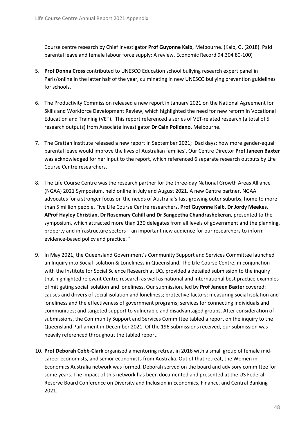Course centre research by Chief Investigator **Prof Guyonne Kalb**, Melbourne. (Kalb, G. (2018). Paid parental leave and female labour force supply: A review. Economic Record 94.304 80-100)

- 5. **Prof Donna Cross** contributed to UNESCO Education school bullying research expert panel in Paris/online in the latter half of the year, culminating in new UNESCO bullying prevention guidelines for schools.
- 6. The Productivity Commission released a new report in January 2021 on the National Agreement for Skills and Workforce Development Review, which highlighted the need for new reform in Vocational Education and Training (VET). This report referenced a series of VET-related research (a total of 5 research outputs) from Associate Investigator **Dr Cain Polidano**, Melbourne.
- 7. The Grattan Institute released a new report in September 2021; 'Dad days: how more gender-equal parental leave would improve the lives of Australian families'. Our Centre Director **Prof Janeen Baxter** was acknowledged for her input to the report, which referenced 6 separate research outputs by Life Course Centre researchers.
- 8. The Life Course Centre was the research partner for the three-day National Growth Areas Alliance (NGAA) 2021 Symposium, held online in July and August 2021. A new Centre partner, NGAA advocates for a stronger focus on the needs of Australia's fast-growing outer suburbs, home to more than 5 million people. Five Life Course Centre researchers, **Prof Guyonne Kalb, Dr Jordy Meekes, AProf Hayley Christian, Dr Rosemary Cahill and Dr Sangeetha Chandrashekeran**, presented to the symposium, which attracted more than 130 delegates from all levels of government and the planning, property and infrastructure sectors – an important new audience for our researchers to inform evidence-based policy and practice. "
- 9. In May 2021, the Queensland Government's Community Support and Services Committee launched an Inquiry into Social Isolation & Loneliness in Queensland. The Life Course Centre, in conjunction with the Institute for Social Science Research at UQ, provided a detailed submission to the inquiry that highlighted relevant Centre research as well as national and international best practice examples of mitigating social isolation and loneliness. Our submission, led by **Prof Janeen Baxter** covered: causes and drivers of social isolation and loneliness; protective factors; measuring social isolation and loneliness and the effectiveness of government programs; services for connecting individuals and communities; and targeted support to vulnerable and disadvantaged groups. After consideration of submissions, the Community Support and Services Committee tabled a report on the inquiry to the Queensland Parliament in December 2021. Of the 196 submissions received, our submission was heavily referenced throughout the tabled report.
- 10. **Prof Deborah Cobb-Clark** organised a mentoring retreat in 2016 with a small group of female midcareer economists, and senior economists from Australia. Out of that retreat, the Women in Economics Australia network was formed. Deborah served on the board and advisory committee for some years. The impact of this network has been documented and presented at the US Federal Reserve Board Conference on Diversity and Inclusion in Economics, Finance, and Central Banking 2021.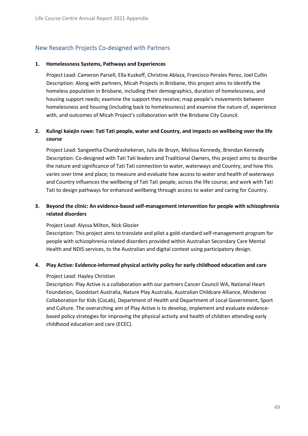# <span id="page-48-0"></span>New Research Projects Co-designed with Partners

#### **1. Homelessness Systems, Pathways and Experiences**

Project Lead: Cameron Parsell, Ella Kuskoff, Christine Ablaza, Francisco Perales Perez, Joel Cullin Description: Along with partners, Micah Projects in Brisbane, this project aims to identify the homeless population in Brisbane, including their demographics, duration of homelessness, and housing support needs; examine the support they receive; map people's movements between homelessness and housing (including back to homelessness) and examine the nature of, experience with, and outcomes of Micah Project's collaboration with the Brisbane City Council.

## **2. Kulingi kaiejin ruwe: Tati Tati people, water and Country, and impacts on wellbeing over the life course**

Project Lead: Sangeetha Chandrashekeran, Julia de Bruyn, Melissa Kennedy, Brendan Kennedy Description: Co-designed with Tati Tati leaders and Traditional Owners, this project aims to describe the nature and significance of Tati Tati connection to water, waterways and Country, and how this varies over time and place; to measure and evaluate how access to water and health of waterways and Country influences the wellbeing of Tati Tati people, across the life course; and work with Tati Tati to design pathways for enhanced wellbeing through access to water and caring for Country.

## **3. Beyond the clinic: An evidence-based self-management intervention for people with schizophrenia related disorders**

## Project Lead: Alyssa Milton, Nick Glozier

Description: This project aims to translate and pilot a gold-standard self-management program for people with schizophrenia related disorders provided within Australian Secondary Care Mental Health and NDIS services, to the Australian and digital context using participatory design.

## **4. Play Active: Evidence-informed physical activity policy for early childhood education and care**

#### Project Lead: Hayley Christian

Description: Play Active is a collaboration with our partners Cancer Council WA, National Heart Foundation, Goodstart Australia, Nature Play Australia, Australian Childcare Alliance, Minderoo Collaboration for Kids (CoLab), Department of Health and Department of Local Government, Sport and Culture. The overarching aim of Play Active is to develop, implement and evaluate evidencebased policy strategies for improving the physical activity and health of children attending early childhood education and care (ECEC).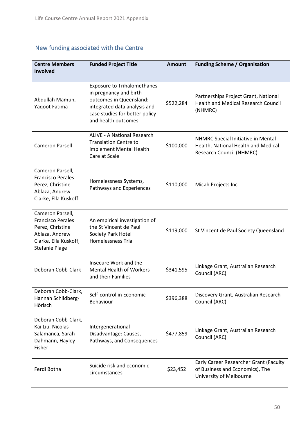# <span id="page-49-0"></span>New funding associated with the Centre

| <b>Centre Members</b><br>Involved                                                                                                    | <b>Funded Project Title</b>                                                                                                                                                      | <b>Amount</b> | <b>Funding Scheme / Organisation</b>                                                                         |
|--------------------------------------------------------------------------------------------------------------------------------------|----------------------------------------------------------------------------------------------------------------------------------------------------------------------------------|---------------|--------------------------------------------------------------------------------------------------------------|
| Abdullah Mamun,<br>Yaqoot Fatima                                                                                                     | <b>Exposure to Trihalomethanes</b><br>in pregnancy and birth<br>outcomes in Queensland:<br>integrated data analysis and<br>case studies for better policy<br>and health outcomes | \$522,284     | Partnerships Project Grant, National<br><b>Health and Medical Research Council</b><br>(NHMRC)                |
| <b>Cameron Parsell</b>                                                                                                               | <b>ALIVE - A National Research</b><br><b>Translation Centre to</b><br>implement Mental Health<br>Care at Scale                                                                   | \$100,000     | NHMRC Special Initiative in Mental<br>Health, National Health and Medical<br><b>Research Council (NHMRC)</b> |
| Cameron Parsell,<br><b>Francisco Perales</b><br>Perez, Christine<br>Ablaza, Andrew<br>Clarke, Ella Kuskoff                           | Homelessness Systems,<br>Pathways and Experiences                                                                                                                                | \$110,000     | Micah Projects Inc                                                                                           |
| Cameron Parsell,<br><b>Francisco Perales</b><br>Perez, Christine<br>Ablaza, Andrew<br>Clarke, Ella Kuskoff,<br><b>Stefanie Plage</b> | An empirical investigation of<br>the St Vincent de Paul<br>Society Park Hotel<br><b>Homelessness Trial</b>                                                                       | \$119,000     | St Vincent de Paul Society Queensland                                                                        |
| Deborah Cobb-Clark                                                                                                                   | Insecure Work and the<br><b>Mental Health of Workers</b><br>and their Families                                                                                                   | \$341,595     | Linkage Grant, Australian Research<br>Council (ARC)                                                          |
| Deborah Cobb-Clark,<br>Hannah Schildberg-<br>Hörisch                                                                                 | Self-control in Economic<br>Behaviour                                                                                                                                            | \$396,388     | Discovery Grant, Australian Research<br>Council (ARC)                                                        |
| Deborah Cobb-Clark,<br>Kai Liu, Nicolas<br>Salamanca, Sarah<br>Dahmann, Hayley<br>Fisher                                             | Intergenerational<br>Disadvantage: Causes,<br>Pathways, and Consequences                                                                                                         | \$477,859     | Linkage Grant, Australian Research<br>Council (ARC)                                                          |
| Ferdi Botha                                                                                                                          | Suicide risk and economic<br>circumstances                                                                                                                                       | \$23,452      | Early Career Researcher Grant (Faculty<br>of Business and Economics), The<br>University of Melbourne         |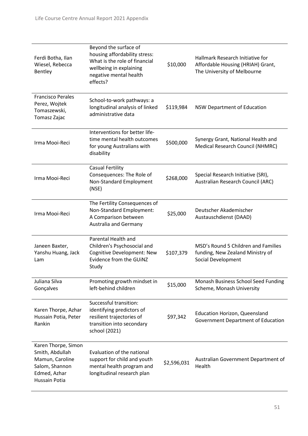| Ferdi Botha, Ilan<br>Wiesel, Rebecca<br>Bentley                                                              | Beyond the surface of<br>housing affordability stress:<br>What is the role of financial<br>wellbeing in explaining<br>negative mental health<br>effects? | \$10,000    | Hallmark Research Initiative for<br>Affordable Housing (HRIAH) Grant,<br>The University of Melbourne |
|--------------------------------------------------------------------------------------------------------------|----------------------------------------------------------------------------------------------------------------------------------------------------------|-------------|------------------------------------------------------------------------------------------------------|
| <b>Francisco Perales</b><br>Perez, Wojtek<br>Tomaszewski,<br>Tomasz Zajac                                    | School-to-work pathways: a<br>longitudinal analysis of linked<br>administrative data                                                                     | \$119,984   | <b>NSW Department of Education</b>                                                                   |
| Irma Mooi-Reci                                                                                               | Interventions for better life-<br>time mental health outcomes<br>for young Australians with<br>disability                                                | \$500,000   | Synergy Grant, National Health and<br>Medical Research Council (NHMRC)                               |
| Irma Mooi-Reci                                                                                               | <b>Casual Fertility</b><br>Consequences: The Role of<br>Non-Standard Employment<br>(NSE)                                                                 | \$268,000   | Special Research Initiative (SRI),<br>Australian Research Council (ARC)                              |
| Irma Mooi-Reci                                                                                               | The Fertility Consequences of<br>Non-Standard Employment:<br>A Comparison between<br><b>Australia and Germany</b>                                        | \$25,000    | Deutscher Akademischer<br>Austauschdienst (DAAD)                                                     |
| Janeen Baxter,<br>Yanshu Huang, Jack<br>Lam                                                                  | Parental Health and<br>Children's Psychosocial and<br>Cognitive Development: New<br>Evidence from the GUINZ<br>Study                                     | \$107,379   | MSD's Round 5 Children and Families<br>funding, New Zealand Ministry of<br>Social Development        |
| Juliana Silva<br>Gonçalves                                                                                   | Promoting growth mindset in<br>left-behind children                                                                                                      | \$15,000    | Monash Business School Seed Funding<br>Scheme, Monash University                                     |
| Karen Thorpe, Azhar<br>Hussain Potia, Peter<br>Rankin                                                        | Successful transition:<br>identifying predictors of<br>resilient trajectories of<br>transition into secondary<br>school (2021)                           | \$97,342    | <b>Education Horizon, Queensland</b><br>Government Department of Education                           |
| Karen Thorpe, Simon<br>Smith, Abdullah<br>Mamun, Caroline<br>Salom, Shannon<br>Edmed, Azhar<br>Hussain Potia | Evaluation of the national<br>support for child and youth<br>mental health program and<br>longitudinal research plan                                     | \$2,596,031 | Australian Government Department of<br>Health                                                        |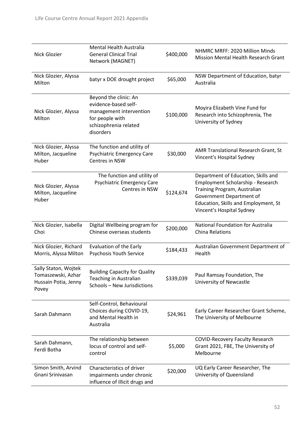| Nick Glozier                                                                | Mental Health Australia<br><b>General Clinical Trial</b><br>Network (MAGNET)                                                      | \$400,000 | NHMRC MRFF: 2020 Million Minds<br><b>Mission Mental Health Research Grant</b>                                                                                                                             |
|-----------------------------------------------------------------------------|-----------------------------------------------------------------------------------------------------------------------------------|-----------|-----------------------------------------------------------------------------------------------------------------------------------------------------------------------------------------------------------|
| Nick Glozier, Alyssa<br>Milton                                              | batyr x DOE drought project                                                                                                       | \$65,000  | NSW Department of Education, batyr<br>Australia                                                                                                                                                           |
| Nick Glozier, Alyssa<br>Milton                                              | Beyond the clinic: An<br>evidence-based self-<br>management intervention<br>for people with<br>schizophrenia related<br>disorders | \$100,000 | Moyira Elizabeth Vine Fund for<br>Research into Schizophrenia, The<br>University of Sydney                                                                                                                |
| Nick Glozier, Alyssa<br>Milton, Jacqueline<br>Huber                         | The function and utility of<br><b>Psychiatric Emergency Care</b><br>Centres in NSW                                                | \$30,000  | AMR Translational Research Grant, St<br>Vincent's Hospital Sydney                                                                                                                                         |
| Nick Glozier, Alyssa<br>Milton, Jacqueline<br>Huber                         | The function and utility of<br><b>Psychiatric Emergency Care</b><br>Centres in NSW                                                | \$124,674 | Department of Education, Skills and<br>Employment Scholarship - Research<br>Training Program, Australian<br>Government Department of<br>Education, Skills and Employment, St<br>Vincent's Hospital Sydney |
| Nick Glozier, Isabella<br>Choi                                              | Digital Wellbeing program for<br>Chinese overseas students                                                                        | \$200,000 | National Foundation for Australia<br><b>China Relations</b>                                                                                                                                               |
| Nick Glozier, Richard<br>Morris, Alyssa Milton                              | Evaluation of the Early<br>Psychosis Youth Service                                                                                | \$184,433 | Australian Government Department of<br>Health                                                                                                                                                             |
| Sally Staton, Wojtek<br>Tomaszewski, Azhar<br>Hussain Potia, Jenny<br>Povey | <b>Building Capacity for Quality</b><br><b>Teaching in Australian</b><br>Schools - New Jurisdictions                              | \$339,039 | Paul Ramsay Foundation, The<br>University of Newcastle                                                                                                                                                    |
| Sarah Dahmann                                                               | Self-Control, Behavioural<br>Choices during COVID-19,<br>and Mental Health in<br>Australia                                        | \$24,961  | Early Career Researcher Grant Scheme,<br>The University of Melbourne                                                                                                                                      |
| Sarah Dahmann,<br>Ferdi Botha                                               | The relationship between<br>locus of control and self-<br>control                                                                 | \$5,000   | <b>COVID-Recovery Faculty Research</b><br>Grant 2021, FBE, The University of<br>Melbourne                                                                                                                 |
| Simon Smith, Arvind<br>Gnani Srinivasan                                     | Characteristics of driver<br>impairments under chronic<br>influence of illicit drugs and                                          | \$20,000  | UQ Early Career Researcher, The<br>University of Queensland                                                                                                                                               |